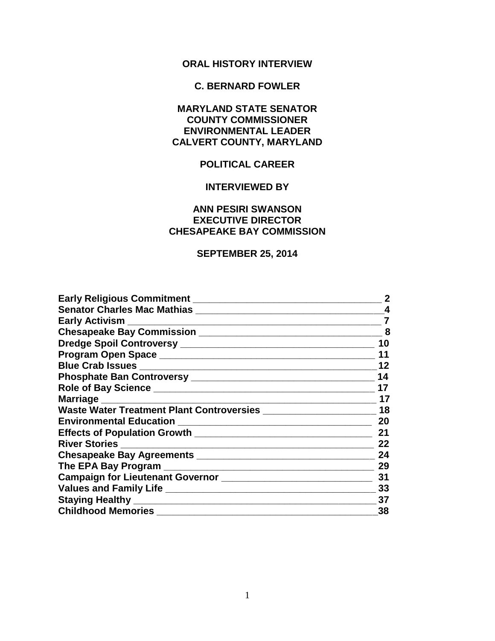# **ORAL HISTORY INTERVIEW**

## **C. BERNARD FOWLER**

## **MARYLAND STATE SENATOR COUNTY COMMISSIONER ENVIRONMENTAL LEADER CALVERT COUNTY, MARYLAND**

# **POLITICAL CAREER**

### **INTERVIEWED BY**

## **ANN PESIRI SWANSON EXECUTIVE DIRECTOR CHESAPEAKE BAY COMMISSION**

### **SEPTEMBER 25, 2014**

| Early Religious Commitment <b>Example 2018</b>                                  | $\mathbf 2$ |
|---------------------------------------------------------------------------------|-------------|
|                                                                                 | 4           |
|                                                                                 | 7           |
|                                                                                 | 8           |
|                                                                                 | 10          |
|                                                                                 | 11          |
|                                                                                 | 12          |
|                                                                                 | 14          |
|                                                                                 | 17          |
|                                                                                 | 17          |
| Waste Water Treatment Plant Controversies _______________________               | 18          |
|                                                                                 | 20          |
|                                                                                 | 21          |
|                                                                                 | 22          |
|                                                                                 | 24          |
|                                                                                 | 29          |
| Campaign for Lieutenant Governor [1944] [1945] Campaign for Lieutenant Governor | 31          |
|                                                                                 | 33          |
| Staying Healthy Manual Assembly and the staying Healthy                         | 37          |
| <b>Childhood Memories</b>                                                       | 38          |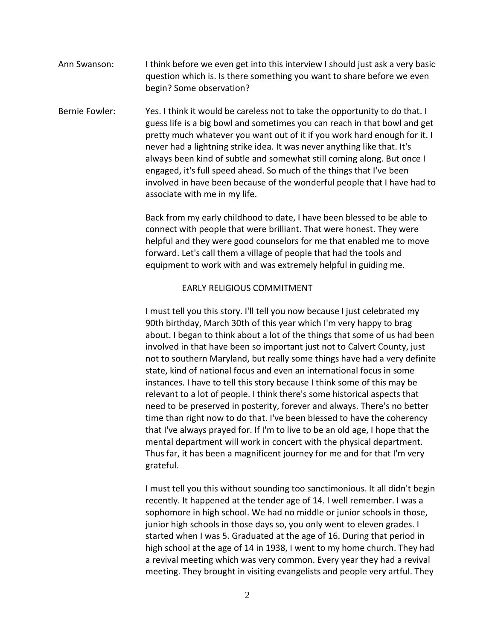Ann Swanson: I think before we even get into this interview I should just ask a very basic question which is. Is there something you want to share before we even begin? Some observation?

Bernie Fowler: Yes. I think it would be careless not to take the opportunity to do that. I guess life is a big bowl and sometimes you can reach in that bowl and get pretty much whatever you want out of it if you work hard enough for it. I never had a lightning strike idea. It was never anything like that. It's always been kind of subtle and somewhat still coming along. But once I engaged, it's full speed ahead. So much of the things that I've been involved in have been because of the wonderful people that I have had to associate with me in my life.

> Back from my early childhood to date, I have been blessed to be able to connect with people that were brilliant. That were honest. They were helpful and they were good counselors for me that enabled me to move forward. Let's call them a village of people that had the tools and equipment to work with and was extremely helpful in guiding me.

#### EARLY RELIGIOUS COMMITMENT

I must tell you this story. I'll tell you now because I just celebrated my 90th birthday, March 30th of this year which I'm very happy to brag about. I began to think about a lot of the things that some of us had been involved in that have been so important just not to Calvert County, just not to southern Maryland, but really some things have had a very definite state, kind of national focus and even an international focus in some instances. I have to tell this story because I think some of this may be relevant to a lot of people. I think there's some historical aspects that need to be preserved in posterity, forever and always. There's no better time than right now to do that. I've been blessed to have the coherency that I've always prayed for. If I'm to live to be an old age, I hope that the mental department will work in concert with the physical department. Thus far, it has been a magnificent journey for me and for that I'm very grateful.

I must tell you this without sounding too sanctimonious. It all didn't begin recently. It happened at the tender age of 14. I well remember. I was a sophomore in high school. We had no middle or junior schools in those, junior high schools in those days so, you only went to eleven grades. I started when I was 5. Graduated at the age of 16. During that period in high school at the age of 14 in 1938, I went to my home church. They had a revival meeting which was very common. Every year they had a revival meeting. They brought in visiting evangelists and people very artful. They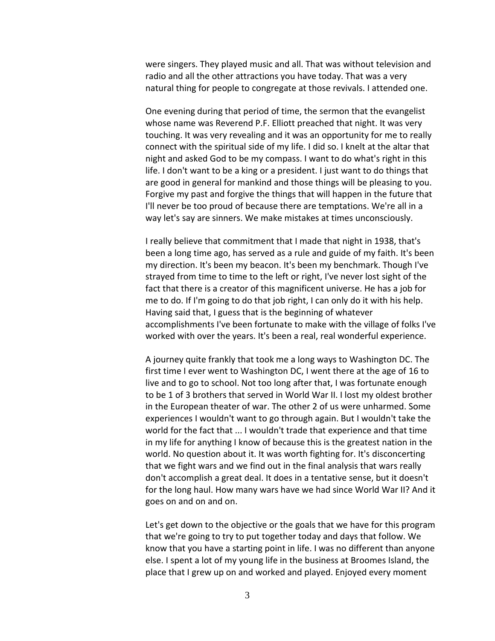were singers. They played music and all. That was without television and radio and all the other attractions you have today. That was a very natural thing for people to congregate at those revivals. I attended one.

One evening during that period of time, the sermon that the evangelist whose name was Reverend P.F. Elliott preached that night. It was very touching. It was very revealing and it was an opportunity for me to really connect with the spiritual side of my life. I did so. I knelt at the altar that night and asked God to be my compass. I want to do what's right in this life. I don't want to be a king or a president. I just want to do things that are good in general for mankind and those things will be pleasing to you. Forgive my past and forgive the things that will happen in the future that I'll never be too proud of because there are temptations. We're all in a way let's say are sinners. We make mistakes at times unconsciously.

I really believe that commitment that I made that night in 1938, that's been a long time ago, has served as a rule and guide of my faith. It's been my direction. It's been my beacon. It's been my benchmark. Though I've strayed from time to time to the left or right, I've never lost sight of the fact that there is a creator of this magnificent universe. He has a job for me to do. If I'm going to do that job right, I can only do it with his help. Having said that, I guess that is the beginning of whatever accomplishments I've been fortunate to make with the village of folks I've worked with over the years. It's been a real, real wonderful experience.

A journey quite frankly that took me a long ways to Washington DC. The first time I ever went to Washington DC, I went there at the age of 16 to live and to go to school. Not too long after that, I was fortunate enough to be 1 of 3 brothers that served in World War II. I lost my oldest brother in the European theater of war. The other 2 of us were unharmed. Some experiences I wouldn't want to go through again. But I wouldn't take the world for the fact that ... I wouldn't trade that experience and that time in my life for anything I know of because this is the greatest nation in the world. No question about it. It was worth fighting for. It's disconcerting that we fight wars and we find out in the final analysis that wars really don't accomplish a great deal. It does in a tentative sense, but it doesn't for the long haul. How many wars have we had since World War II? And it goes on and on and on.

Let's get down to the objective or the goals that we have for this program that we're going to try to put together today and days that follow. We know that you have a starting point in life. I was no different than anyone else. I spent a lot of my young life in the business at Broomes Island, the place that I grew up on and worked and played. Enjoyed every moment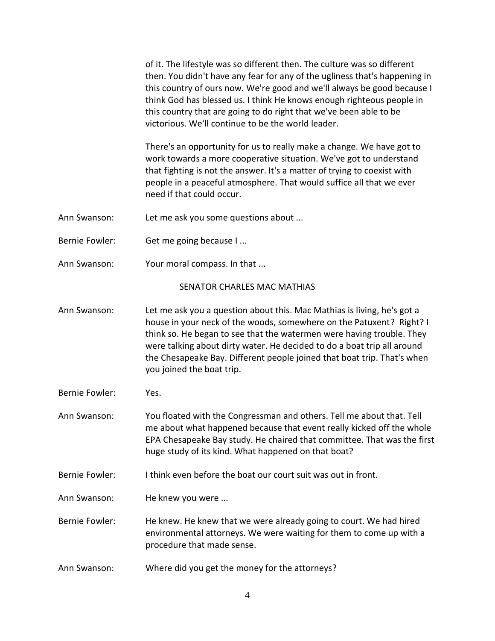of it. The lifestyle was so different then. The culture was so different then. You didn't have any fear for any of the ugliness that's happening in this country of ours now. We're good and we'll always be good because I think God has blessed us. I think He knows enough righteous people in this country that are going to do right that we've been able to be victorious. We'll continue to be the world leader.

There's an opportunity for us to really make a change. We have got to work towards a more cooperative situation. We've got to understand that fighting is not the answer. It's a matter of trying to coexist with people in a peaceful atmosphere. That would suffice all that we ever need if that could occur.

- Ann Swanson: Let me ask you some questions about ...
- Bernie Fowler: Get me going because I ...
- Ann Swanson: Your moral compass. In that ...

### SENATOR CHARLES MAC MATHIAS

- Ann Swanson: Let me ask you a question about this. Mac Mathias is living, he's got a house in your neck of the woods, somewhere on the Patuxent? Right? I think so. He began to see that the watermen were having trouble. They were talking about dirty water. He decided to do a boat trip all around the Chesapeake Bay. Different people joined that boat trip. That's when you joined the boat trip.
- Bernie Fowler: Yes.
- Ann Swanson: You floated with the Congressman and others. Tell me about that. Tell me about what happened because that event really kicked off the whole EPA Chesapeake Bay study. He chaired that committee. That was the first huge study of its kind. What happened on that boat?
- Bernie Fowler: I think even before the boat our court suit was out in front.
- Ann Swanson: He knew you were ...
- Bernie Fowler: He knew. He knew that we were already going to court. We had hired environmental attorneys. We were waiting for them to come up with a procedure that made sense.
- Ann Swanson: Where did you get the money for the attorneys?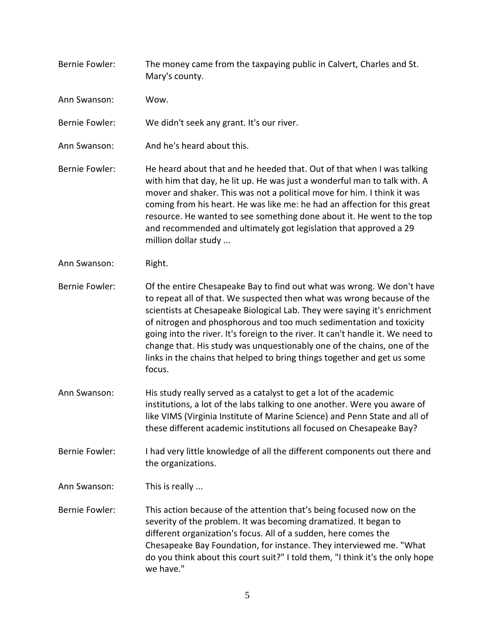Bernie Fowler: The money came from the taxpaying public in Calvert, Charles and St. Mary's county. Ann Swanson: Wow. Bernie Fowler: We didn't seek any grant. It's our river. Ann Swanson: And he's heard about this. Bernie Fowler: He heard about that and he heeded that. Out of that when I was talking with him that day, he lit up. He was just a wonderful man to talk with. A mover and shaker. This was not a political move for him. I think it was coming from his heart. He was like me: he had an affection for this great resource. He wanted to see something done about it. He went to the top and recommended and ultimately got legislation that approved a 29 million dollar study ... Ann Swanson: Right. Bernie Fowler: Of the entire Chesapeake Bay to find out what was wrong. We don't have to repeat all of that. We suspected then what was wrong because of the scientists at Chesapeake Biological Lab. They were saying it's enrichment of nitrogen and phosphorous and too much sedimentation and toxicity going into the river. It's foreign to the river. It can't handle it. We need to change that. His study was unquestionably one of the chains, one of the links in the chains that helped to bring things together and get us some focus. Ann Swanson: His study really served as a catalyst to get a lot of the academic institutions, a lot of the labs talking to one another. Were you aware of like VIMS (Virginia Institute of Marine Science) and Penn State and all of these different academic institutions all focused on Chesapeake Bay? Bernie Fowler: I had very little knowledge of all the different components out there and the organizations. Ann Swanson: This is really ... Bernie Fowler: This action because of the attention that's being focused now on the severity of the problem. It was becoming dramatized. It began to different organization's focus. All of a sudden, here comes the Chesapeake Bay Foundation, for instance. They interviewed me. "What do you think about this court suit?" I told them, "I think it's the only hope we have."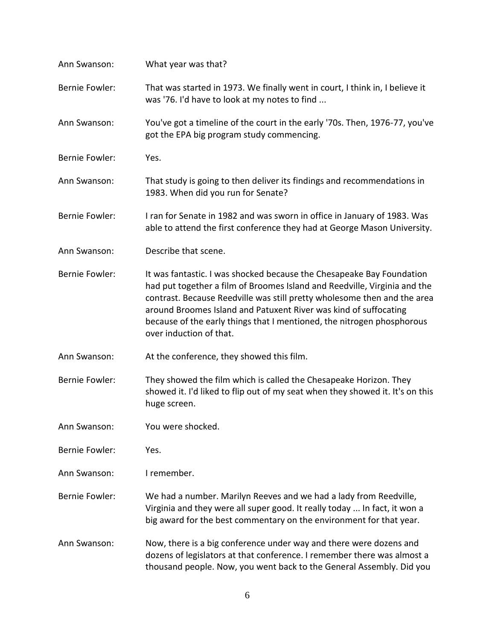| Ann Swanson:          | What year was that?                                                                                                                                                                                                                                                                                                                                                                                     |
|-----------------------|---------------------------------------------------------------------------------------------------------------------------------------------------------------------------------------------------------------------------------------------------------------------------------------------------------------------------------------------------------------------------------------------------------|
| <b>Bernie Fowler:</b> | That was started in 1973. We finally went in court, I think in, I believe it<br>was '76. I'd have to look at my notes to find                                                                                                                                                                                                                                                                           |
| Ann Swanson:          | You've got a timeline of the court in the early '70s. Then, 1976-77, you've<br>got the EPA big program study commencing.                                                                                                                                                                                                                                                                                |
| <b>Bernie Fowler:</b> | Yes.                                                                                                                                                                                                                                                                                                                                                                                                    |
| Ann Swanson:          | That study is going to then deliver its findings and recommendations in<br>1983. When did you run for Senate?                                                                                                                                                                                                                                                                                           |
| <b>Bernie Fowler:</b> | I ran for Senate in 1982 and was sworn in office in January of 1983. Was<br>able to attend the first conference they had at George Mason University.                                                                                                                                                                                                                                                    |
| Ann Swanson:          | Describe that scene.                                                                                                                                                                                                                                                                                                                                                                                    |
| <b>Bernie Fowler:</b> | It was fantastic. I was shocked because the Chesapeake Bay Foundation<br>had put together a film of Broomes Island and Reedville, Virginia and the<br>contrast. Because Reedville was still pretty wholesome then and the area<br>around Broomes Island and Patuxent River was kind of suffocating<br>because of the early things that I mentioned, the nitrogen phosphorous<br>over induction of that. |
| Ann Swanson:          | At the conference, they showed this film.                                                                                                                                                                                                                                                                                                                                                               |
| <b>Bernie Fowler:</b> | They showed the film which is called the Chesapeake Horizon. They<br>showed it. I'd liked to flip out of my seat when they showed it. It's on this<br>huge screen.                                                                                                                                                                                                                                      |
| Ann Swanson:          | You were shocked.                                                                                                                                                                                                                                                                                                                                                                                       |
| <b>Bernie Fowler:</b> | Yes.                                                                                                                                                                                                                                                                                                                                                                                                    |
| Ann Swanson:          | I remember.                                                                                                                                                                                                                                                                                                                                                                                             |
| <b>Bernie Fowler:</b> | We had a number. Marilyn Reeves and we had a lady from Reedville,<br>Virginia and they were all super good. It really today  In fact, it won a<br>big award for the best commentary on the environment for that year.                                                                                                                                                                                   |
| Ann Swanson:          | Now, there is a big conference under way and there were dozens and<br>dozens of legislators at that conference. I remember there was almost a<br>thousand people. Now, you went back to the General Assembly. Did you                                                                                                                                                                                   |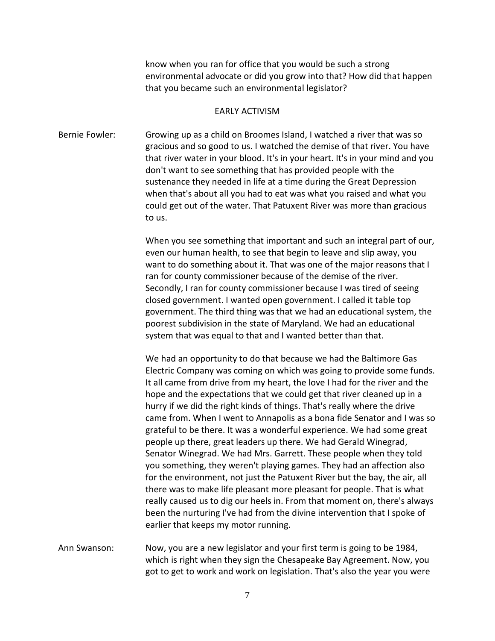know when you ran for office that you would be such a strong environmental advocate or did you grow into that? How did that happen that you became such an environmental legislator?

### EARLY ACTIVISM

Bernie Fowler: Growing up as a child on Broomes Island, I watched a river that was so gracious and so good to us. I watched the demise of that river. You have that river water in your blood. It's in your heart. It's in your mind and you don't want to see something that has provided people with the sustenance they needed in life at a time during the Great Depression when that's about all you had to eat was what you raised and what you could get out of the water. That Patuxent River was more than gracious to us.

> When you see something that important and such an integral part of our, even our human health, to see that begin to leave and slip away, you want to do something about it. That was one of the major reasons that I ran for county commissioner because of the demise of the river. Secondly, I ran for county commissioner because I was tired of seeing closed government. I wanted open government. I called it table top government. The third thing was that we had an educational system, the poorest subdivision in the state of Maryland. We had an educational system that was equal to that and I wanted better than that.

> We had an opportunity to do that because we had the Baltimore Gas Electric Company was coming on which was going to provide some funds. It all came from drive from my heart, the love I had for the river and the hope and the expectations that we could get that river cleaned up in a hurry if we did the right kinds of things. That's really where the drive came from. When I went to Annapolis as a bona fide Senator and I was so grateful to be there. It was a wonderful experience. We had some great people up there, great leaders up there. We had Gerald Winegrad, Senator Winegrad. We had Mrs. Garrett. These people when they told you something, they weren't playing games. They had an affection also for the environment, not just the Patuxent River but the bay, the air, all there was to make life pleasant more pleasant for people. That is what really caused us to dig our heels in. From that moment on, there's always been the nurturing I've had from the divine intervention that I spoke of earlier that keeps my motor running.

Ann Swanson: Now, you are a new legislator and your first term is going to be 1984, which is right when they sign the Chesapeake Bay Agreement. Now, you got to get to work and work on legislation. That's also the year you were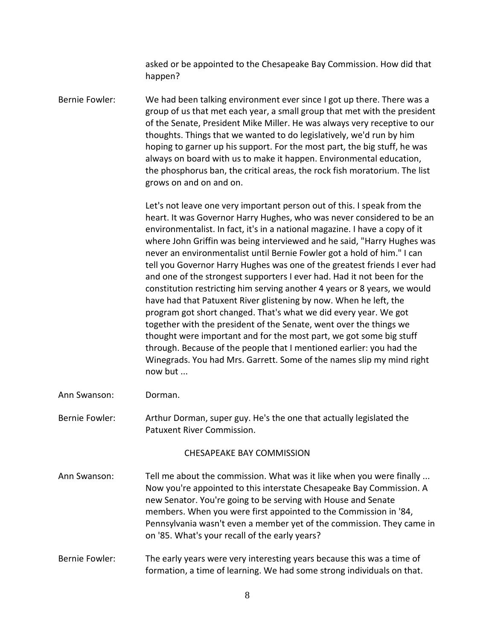asked or be appointed to the Chesapeake Bay Commission. How did that happen?

Bernie Fowler: We had been talking environment ever since I got up there. There was a group of us that met each year, a small group that met with the president of the Senate, President Mike Miller. He was always very receptive to our thoughts. Things that we wanted to do legislatively, we'd run by him hoping to garner up his support. For the most part, the big stuff, he was always on board with us to make it happen. Environmental education, the phosphorus ban, the critical areas, the rock fish moratorium. The list grows on and on and on.

> Let's not leave one very important person out of this. I speak from the heart. It was Governor Harry Hughes, who was never considered to be an environmentalist. In fact, it's in a national magazine. I have a copy of it where John Griffin was being interviewed and he said, "Harry Hughes was never an environmentalist until Bernie Fowler got a hold of him." I can tell you Governor Harry Hughes was one of the greatest friends I ever had and one of the strongest supporters I ever had. Had it not been for the constitution restricting him serving another 4 years or 8 years, we would have had that Patuxent River glistening by now. When he left, the program got short changed. That's what we did every year. We got together with the president of the Senate, went over the things we thought were important and for the most part, we got some big stuff through. Because of the people that I mentioned earlier: you had the Winegrads. You had Mrs. Garrett. Some of the names slip my mind right now but ...

Ann Swanson: Dorman.

Bernie Fowler: Arthur Dorman, super guy. He's the one that actually legislated the Patuxent River Commission.

CHESAPEAKE BAY COMMISSION

- Ann Swanson: Tell me about the commission. What was it like when you were finally ... Now you're appointed to this interstate Chesapeake Bay Commission. A new Senator. You're going to be serving with House and Senate members. When you were first appointed to the Commission in '84, Pennsylvania wasn't even a member yet of the commission. They came in on '85. What's your recall of the early years?
- Bernie Fowler: The early years were very interesting years because this was a time of formation, a time of learning. We had some strong individuals on that.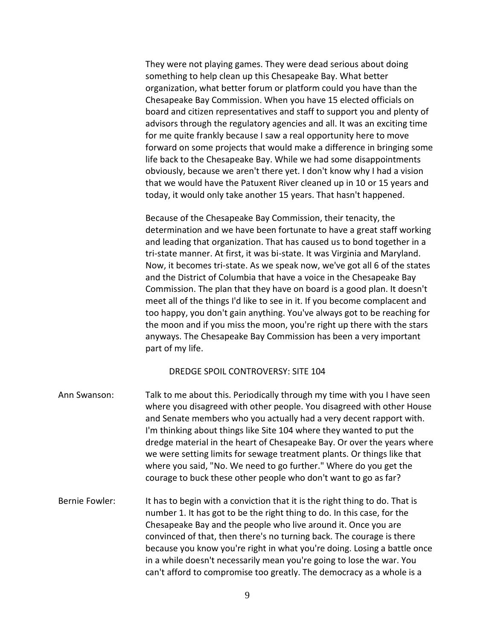They were not playing games. They were dead serious about doing something to help clean up this Chesapeake Bay. What better organization, what better forum or platform could you have than the Chesapeake Bay Commission. When you have 15 elected officials on board and citizen representatives and staff to support you and plenty of advisors through the regulatory agencies and all. It was an exciting time for me quite frankly because I saw a real opportunity here to move forward on some projects that would make a difference in bringing some life back to the Chesapeake Bay. While we had some disappointments obviously, because we aren't there yet. I don't know why I had a vision that we would have the Patuxent River cleaned up in 10 or 15 years and today, it would only take another 15 years. That hasn't happened.

Because of the Chesapeake Bay Commission, their tenacity, the determination and we have been fortunate to have a great staff working and leading that organization. That has caused us to bond together in a tri-state manner. At first, it was bi-state. It was Virginia and Maryland. Now, it becomes tri-state. As we speak now, we've got all 6 of the states and the District of Columbia that have a voice in the Chesapeake Bay Commission. The plan that they have on board is a good plan. It doesn't meet all of the things I'd like to see in it. If you become complacent and too happy, you don't gain anything. You've always got to be reaching for the moon and if you miss the moon, you're right up there with the stars anyways. The Chesapeake Bay Commission has been a very important part of my life.

### DREDGE SPOIL CONTROVERSY: SITE 104

- Ann Swanson: Talk to me about this. Periodically through my time with you I have seen where you disagreed with other people. You disagreed with other House and Senate members who you actually had a very decent rapport with. I'm thinking about things like Site 104 where they wanted to put the dredge material in the heart of Chesapeake Bay. Or over the years where we were setting limits for sewage treatment plants. Or things like that where you said, "No. We need to go further." Where do you get the courage to buck these other people who don't want to go as far?
- Bernie Fowler: It has to begin with a conviction that it is the right thing to do. That is number 1. It has got to be the right thing to do. In this case, for the Chesapeake Bay and the people who live around it. Once you are convinced of that, then there's no turning back. The courage is there because you know you're right in what you're doing. Losing a battle once in a while doesn't necessarily mean you're going to lose the war. You can't afford to compromise too greatly. The democracy as a whole is a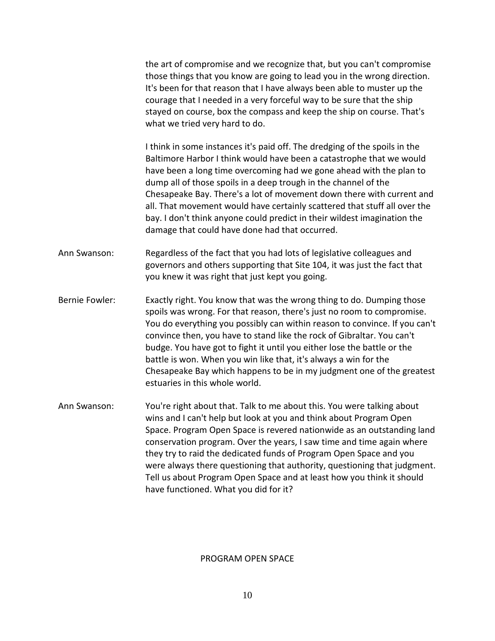the art of compromise and we recognize that, but you can't compromise those things that you know are going to lead you in the wrong direction. It's been for that reason that I have always been able to muster up the courage that I needed in a very forceful way to be sure that the ship stayed on course, box the compass and keep the ship on course. That's what we tried very hard to do.

I think in some instances it's paid off. The dredging of the spoils in the Baltimore Harbor I think would have been a catastrophe that we would have been a long time overcoming had we gone ahead with the plan to dump all of those spoils in a deep trough in the channel of the Chesapeake Bay. There's a lot of movement down there with current and all. That movement would have certainly scattered that stuff all over the bay. I don't think anyone could predict in their wildest imagination the damage that could have done had that occurred.

- Ann Swanson: Regardless of the fact that you had lots of legislative colleagues and governors and others supporting that Site 104, it was just the fact that you knew it was right that just kept you going.
- Bernie Fowler: Exactly right. You know that was the wrong thing to do. Dumping those spoils was wrong. For that reason, there's just no room to compromise. You do everything you possibly can within reason to convince. If you can't convince then, you have to stand like the rock of Gibraltar. You can't budge. You have got to fight it until you either lose the battle or the battle is won. When you win like that, it's always a win for the Chesapeake Bay which happens to be in my judgment one of the greatest estuaries in this whole world.
- Ann Swanson: You're right about that. Talk to me about this. You were talking about wins and I can't help but look at you and think about Program Open Space. Program Open Space is revered nationwide as an outstanding land conservation program. Over the years, I saw time and time again where they try to raid the dedicated funds of Program Open Space and you were always there questioning that authority, questioning that judgment. Tell us about Program Open Space and at least how you think it should have functioned. What you did for it?

#### PROGRAM OPEN SPACE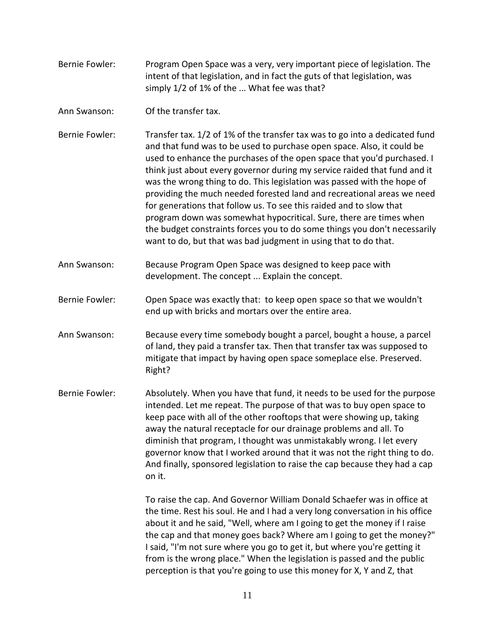| Bernie Fowler: | Program Open Space was a very, very important piece of legislation. The   |
|----------------|---------------------------------------------------------------------------|
|                | intent of that legislation, and in fact the guts of that legislation, was |
|                | simply 1/2 of 1% of the  What fee was that?                               |

Ann Swanson: Of the transfer tax.

Bernie Fowler: Transfer tax. 1/2 of 1% of the transfer tax was to go into a dedicated fund and that fund was to be used to purchase open space. Also, it could be used to enhance the purchases of the open space that you'd purchased. I think just about every governor during my service raided that fund and it was the wrong thing to do. This legislation was passed with the hope of providing the much needed forested land and recreational areas we need for generations that follow us. To see this raided and to slow that program down was somewhat hypocritical. Sure, there are times when the budget constraints forces you to do some things you don't necessarily want to do, but that was bad judgment in using that to do that.

Ann Swanson: Because Program Open Space was designed to keep pace with development. The concept ... Explain the concept.

Bernie Fowler: Open Space was exactly that: to keep open space so that we wouldn't end up with bricks and mortars over the entire area.

Ann Swanson: Because every time somebody bought a parcel, bought a house, a parcel of land, they paid a transfer tax. Then that transfer tax was supposed to mitigate that impact by having open space someplace else. Preserved. Right?

Bernie Fowler: Absolutely. When you have that fund, it needs to be used for the purpose intended. Let me repeat. The purpose of that was to buy open space to keep pace with all of the other rooftops that were showing up, taking away the natural receptacle for our drainage problems and all. To diminish that program, I thought was unmistakably wrong. I let every governor know that I worked around that it was not the right thing to do. And finally, sponsored legislation to raise the cap because they had a cap on it.

> To raise the cap. And Governor William Donald Schaefer was in office at the time. Rest his soul. He and I had a very long conversation in his office about it and he said, "Well, where am I going to get the money if I raise the cap and that money goes back? Where am I going to get the money?" I said, "I'm not sure where you go to get it, but where you're getting it from is the wrong place." When the legislation is passed and the public perception is that you're going to use this money for X, Y and Z, that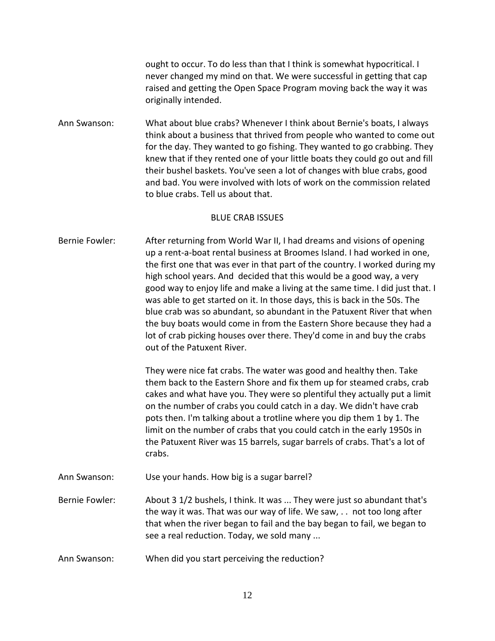ought to occur. To do less than that I think is somewhat hypocritical. I never changed my mind on that. We were successful in getting that cap raised and getting the Open Space Program moving back the way it was originally intended.

Ann Swanson: What about blue crabs? Whenever I think about Bernie's boats, I always think about a business that thrived from people who wanted to come out for the day. They wanted to go fishing. They wanted to go crabbing. They knew that if they rented one of your little boats they could go out and fill their bushel baskets. You've seen a lot of changes with blue crabs, good and bad. You were involved with lots of work on the commission related to blue crabs. Tell us about that.

### BLUE CRAB ISSUES

Bernie Fowler: After returning from World War II, I had dreams and visions of opening up a rent-a-boat rental business at Broomes Island. I had worked in one, the first one that was ever in that part of the country. I worked during my high school years. And decided that this would be a good way, a very good way to enjoy life and make a living at the same time. I did just that. I was able to get started on it. In those days, this is back in the 50s. The blue crab was so abundant, so abundant in the Patuxent River that when the buy boats would come in from the Eastern Shore because they had a lot of crab picking houses over there. They'd come in and buy the crabs out of the Patuxent River.

> They were nice fat crabs. The water was good and healthy then. Take them back to the Eastern Shore and fix them up for steamed crabs, crab cakes and what have you. They were so plentiful they actually put a limit on the number of crabs you could catch in a day. We didn't have crab pots then. I'm talking about a trotline where you dip them 1 by 1. The limit on the number of crabs that you could catch in the early 1950s in the Patuxent River was 15 barrels, sugar barrels of crabs. That's a lot of crabs.

Ann Swanson: Use your hands. How big is a sugar barrel?

Bernie Fowler: About 3 1/2 bushels, I think. It was ... They were just so abundant that's the way it was. That was our way of life. We saw, . . not too long after that when the river began to fail and the bay began to fail, we began to see a real reduction. Today, we sold many ...

Ann Swanson: When did you start perceiving the reduction?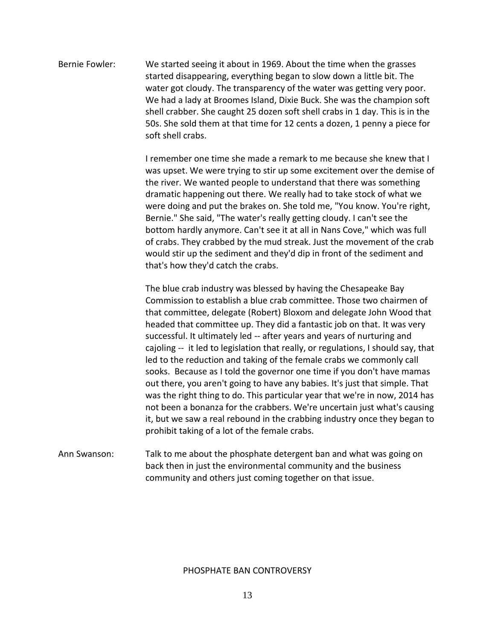Bernie Fowler: We started seeing it about in 1969. About the time when the grasses started disappearing, everything began to slow down a little bit. The water got cloudy. The transparency of the water was getting very poor. We had a lady at Broomes Island, Dixie Buck. She was the champion soft shell crabber. She caught 25 dozen soft shell crabs in 1 day. This is in the 50s. She sold them at that time for 12 cents a dozen, 1 penny a piece for soft shell crabs.

> I remember one time she made a remark to me because she knew that I was upset. We were trying to stir up some excitement over the demise of the river. We wanted people to understand that there was something dramatic happening out there. We really had to take stock of what we were doing and put the brakes on. She told me, "You know. You're right, Bernie." She said, "The water's really getting cloudy. I can't see the bottom hardly anymore. Can't see it at all in Nans Cove," which was full of crabs. They crabbed by the mud streak. Just the movement of the crab would stir up the sediment and they'd dip in front of the sediment and that's how they'd catch the crabs.

> The blue crab industry was blessed by having the Chesapeake Bay Commission to establish a blue crab committee. Those two chairmen of that committee, delegate (Robert) Bloxom and delegate John Wood that headed that committee up. They did a fantastic job on that. It was very successful. It ultimately led -- after years and years of nurturing and cajoling -- it led to legislation that really, or regulations, I should say, that led to the reduction and taking of the female crabs we commonly call sooks. Because as I told the governor one time if you don't have mamas out there, you aren't going to have any babies. It's just that simple. That was the right thing to do. This particular year that we're in now, 2014 has not been a bonanza for the crabbers. We're uncertain just what's causing it, but we saw a real rebound in the crabbing industry once they began to prohibit taking of a lot of the female crabs.

### Ann Swanson: Talk to me about the phosphate detergent ban and what was going on back then in just the environmental community and the business community and others just coming together on that issue.

### PHOSPHATE BAN CONTROVERSY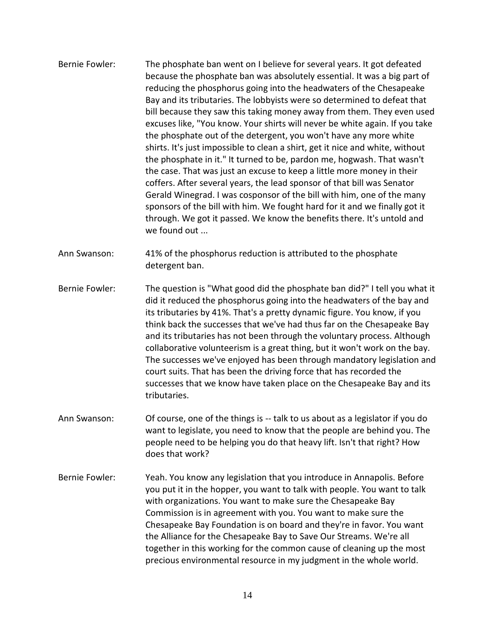Bernie Fowler: The phosphate ban went on I believe for several years. It got defeated because the phosphate ban was absolutely essential. It was a big part of reducing the phosphorus going into the headwaters of the Chesapeake Bay and its tributaries. The lobbyists were so determined to defeat that bill because they saw this taking money away from them. They even used excuses like, "You know. Your shirts will never be white again. If you take the phosphate out of the detergent, you won't have any more white shirts. It's just impossible to clean a shirt, get it nice and white, without the phosphate in it." It turned to be, pardon me, hogwash. That wasn't the case. That was just an excuse to keep a little more money in their coffers. After several years, the lead sponsor of that bill was Senator Gerald Winegrad. I was cosponsor of the bill with him, one of the many sponsors of the bill with him. We fought hard for it and we finally got it through. We got it passed. We know the benefits there. It's untold and we found out ...

Ann Swanson: 41% of the phosphorus reduction is attributed to the phosphate detergent ban.

- Bernie Fowler: The question is "What good did the phosphate ban did?" I tell you what it did it reduced the phosphorus going into the headwaters of the bay and its tributaries by 41%. That's a pretty dynamic figure. You know, if you think back the successes that we've had thus far on the Chesapeake Bay and its tributaries has not been through the voluntary process. Although collaborative volunteerism is a great thing, but it won't work on the bay. The successes we've enjoyed has been through mandatory legislation and court suits. That has been the driving force that has recorded the successes that we know have taken place on the Chesapeake Bay and its tributaries.
- Ann Swanson: Of course, one of the things is -- talk to us about as a legislator if you do want to legislate, you need to know that the people are behind you. The people need to be helping you do that heavy lift. Isn't that right? How does that work?
- Bernie Fowler: Yeah. You know any legislation that you introduce in Annapolis. Before you put it in the hopper, you want to talk with people. You want to talk with organizations. You want to make sure the Chesapeake Bay Commission is in agreement with you. You want to make sure the Chesapeake Bay Foundation is on board and they're in favor. You want the Alliance for the Chesapeake Bay to Save Our Streams. We're all together in this working for the common cause of cleaning up the most precious environmental resource in my judgment in the whole world.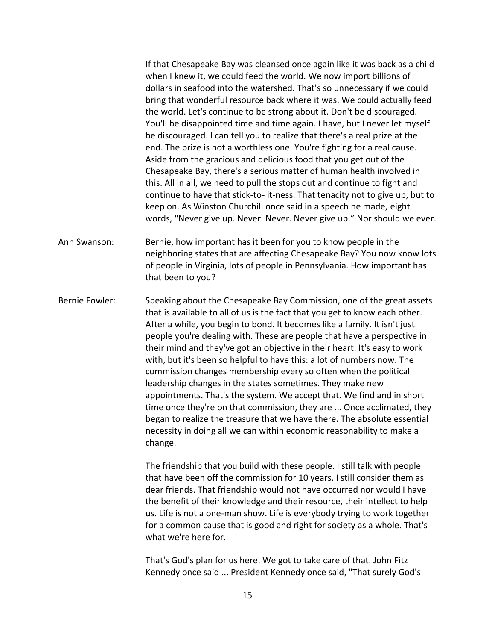If that Chesapeake Bay was cleansed once again like it was back as a child when I knew it, we could feed the world. We now import billions of dollars in seafood into the watershed. That's so unnecessary if we could bring that wonderful resource back where it was. We could actually feed the world. Let's continue to be strong about it. Don't be discouraged. You'll be disappointed time and time again. I have, but I never let myself be discouraged. I can tell you to realize that there's a real prize at the end. The prize is not a worthless one. You're fighting for a real cause. Aside from the gracious and delicious food that you get out of the Chesapeake Bay, there's a serious matter of human health involved in this. All in all, we need to pull the stops out and continue to fight and continue to have that stick-to- it-ness. That tenacity not to give up, but to keep on. As Winston Churchill once said in a speech he made, eight words, "Never give up. Never. Never. Never give up." Nor should we ever.

Ann Swanson: Bernie, how important has it been for you to know people in the neighboring states that are affecting Chesapeake Bay? You now know lots of people in Virginia, lots of people in Pennsylvania. How important has that been to you?

Bernie Fowler: Speaking about the Chesapeake Bay Commission, one of the great assets that is available to all of us is the fact that you get to know each other. After a while, you begin to bond. It becomes like a family. It isn't just people you're dealing with. These are people that have a perspective in their mind and they've got an objective in their heart. It's easy to work with, but it's been so helpful to have this: a lot of numbers now. The commission changes membership every so often when the political leadership changes in the states sometimes. They make new appointments. That's the system. We accept that. We find and in short time once they're on that commission, they are ... Once acclimated, they began to realize the treasure that we have there. The absolute essential necessity in doing all we can within economic reasonability to make a change.

> The friendship that you build with these people. I still talk with people that have been off the commission for 10 years. I still consider them as dear friends. That friendship would not have occurred nor would I have the benefit of their knowledge and their resource, their intellect to help us. Life is not a one-man show. Life is everybody trying to work together for a common cause that is good and right for society as a whole. That's what we're here for.

That's God's plan for us here. We got to take care of that. John Fitz Kennedy once said ... President Kennedy once said, "That surely God's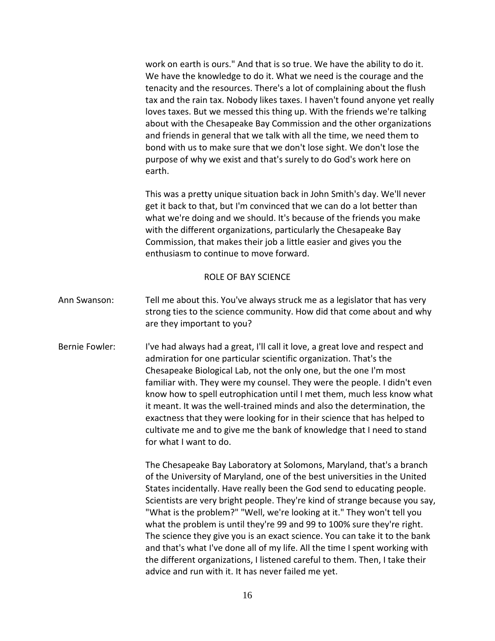work on earth is ours." And that is so true. We have the ability to do it. We have the knowledge to do it. What we need is the courage and the tenacity and the resources. There's a lot of complaining about the flush tax and the rain tax. Nobody likes taxes. I haven't found anyone yet really loves taxes. But we messed this thing up. With the friends we're talking about with the Chesapeake Bay Commission and the other organizations and friends in general that we talk with all the time, we need them to bond with us to make sure that we don't lose sight. We don't lose the purpose of why we exist and that's surely to do God's work here on earth.

This was a pretty unique situation back in John Smith's day. We'll never get it back to that, but I'm convinced that we can do a lot better than what we're doing and we should. It's because of the friends you make with the different organizations, particularly the Chesapeake Bay Commission, that makes their job a little easier and gives you the enthusiasm to continue to move forward.

### ROLE OF BAY SCIENCE

- Ann Swanson: Tell me about this. You've always struck me as a legislator that has very strong ties to the science community. How did that come about and why are they important to you?
- Bernie Fowler: I've had always had a great, I'll call it love, a great love and respect and admiration for one particular scientific organization. That's the Chesapeake Biological Lab, not the only one, but the one I'm most familiar with. They were my counsel. They were the people. I didn't even know how to spell eutrophication until I met them, much less know what it meant. It was the well-trained minds and also the determination, the exactness that they were looking for in their science that has helped to cultivate me and to give me the bank of knowledge that I need to stand for what I want to do.

The Chesapeake Bay Laboratory at Solomons, Maryland, that's a branch of the University of Maryland, one of the best universities in the United States incidentally. Have really been the God send to educating people. Scientists are very bright people. They're kind of strange because you say, "What is the problem?" "Well, we're looking at it." They won't tell you what the problem is until they're 99 and 99 to 100% sure they're right. The science they give you is an exact science. You can take it to the bank and that's what I've done all of my life. All the time I spent working with the different organizations, I listened careful to them. Then, I take their advice and run with it. It has never failed me yet.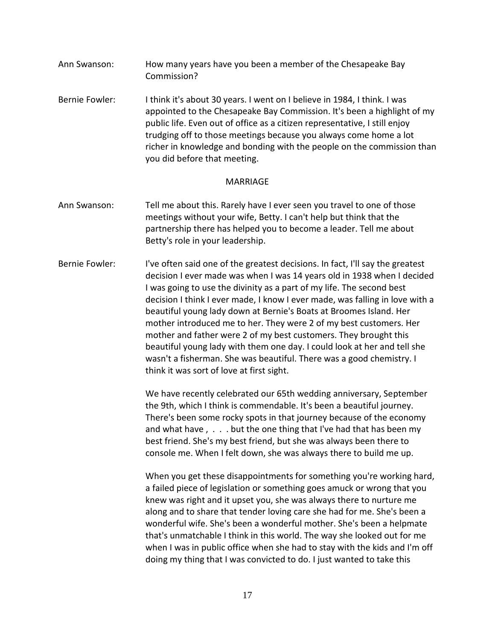- Ann Swanson: How many years have you been a member of the Chesapeake Bay Commission?
- Bernie Fowler: I think it's about 30 years. I went on I believe in 1984, I think. I was appointed to the Chesapeake Bay Commission. It's been a highlight of my public life. Even out of office as a citizen representative, I still enjoy trudging off to those meetings because you always come home a lot richer in knowledge and bonding with the people on the commission than you did before that meeting.

### MARRIAGE

- Ann Swanson: Tell me about this. Rarely have I ever seen you travel to one of those meetings without your wife, Betty. I can't help but think that the partnership there has helped you to become a leader. Tell me about Betty's role in your leadership.
- Bernie Fowler: I've often said one of the greatest decisions. In fact, I'll say the greatest decision I ever made was when I was 14 years old in 1938 when I decided I was going to use the divinity as a part of my life. The second best decision I think I ever made, I know I ever made, was falling in love with a beautiful young lady down at Bernie's Boats at Broomes Island. Her mother introduced me to her. They were 2 of my best customers. Her mother and father were 2 of my best customers. They brought this beautiful young lady with them one day. I could look at her and tell she wasn't a fisherman. She was beautiful. There was a good chemistry. I think it was sort of love at first sight.

We have recently celebrated our 65th wedding anniversary, September the 9th, which I think is commendable. It's been a beautiful journey. There's been some rocky spots in that journey because of the economy and what have , . . . but the one thing that I've had that has been my best friend. She's my best friend, but she was always been there to console me. When I felt down, she was always there to build me up.

When you get these disappointments for something you're working hard, a failed piece of legislation or something goes amuck or wrong that you knew was right and it upset you, she was always there to nurture me along and to share that tender loving care she had for me. She's been a wonderful wife. She's been a wonderful mother. She's been a helpmate that's unmatchable I think in this world. The way she looked out for me when I was in public office when she had to stay with the kids and I'm off doing my thing that I was convicted to do. I just wanted to take this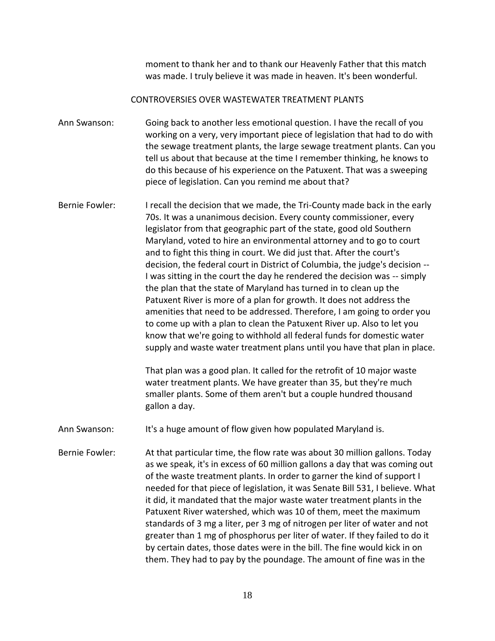moment to thank her and to thank our Heavenly Father that this match was made. I truly believe it was made in heaven. It's been wonderful.

### CONTROVERSIES OVER WASTEWATER TREATMENT PLANTS

Ann Swanson: Going back to another less emotional question. I have the recall of you working on a very, very important piece of legislation that had to do with the sewage treatment plants, the large sewage treatment plants. Can you tell us about that because at the time I remember thinking, he knows to do this because of his experience on the Patuxent. That was a sweeping piece of legislation. Can you remind me about that?

Bernie Fowler: I recall the decision that we made, the Tri-County made back in the early 70s. It was a unanimous decision. Every county commissioner, every legislator from that geographic part of the state, good old Southern Maryland, voted to hire an environmental attorney and to go to court and to fight this thing in court. We did just that. After the court's decision, the federal court in District of Columbia, the judge's decision -- I was sitting in the court the day he rendered the decision was -- simply the plan that the state of Maryland has turned in to clean up the Patuxent River is more of a plan for growth. It does not address the amenities that need to be addressed. Therefore, I am going to order you to come up with a plan to clean the Patuxent River up. Also to let you know that we're going to withhold all federal funds for domestic water supply and waste water treatment plans until you have that plan in place.

> That plan was a good plan. It called for the retrofit of 10 major waste water treatment plants. We have greater than 35, but they're much smaller plants. Some of them aren't but a couple hundred thousand gallon a day.

Ann Swanson: It's a huge amount of flow given how populated Maryland is.

Bernie Fowler: At that particular time, the flow rate was about 30 million gallons. Today as we speak, it's in excess of 60 million gallons a day that was coming out of the waste treatment plants. In order to garner the kind of support I needed for that piece of legislation, it was Senate Bill 531, I believe. What it did, it mandated that the major waste water treatment plants in the Patuxent River watershed, which was 10 of them, meet the maximum standards of 3 mg a liter, per 3 mg of nitrogen per liter of water and not greater than 1 mg of phosphorus per liter of water. If they failed to do it by certain dates, those dates were in the bill. The fine would kick in on them. They had to pay by the poundage. The amount of fine was in the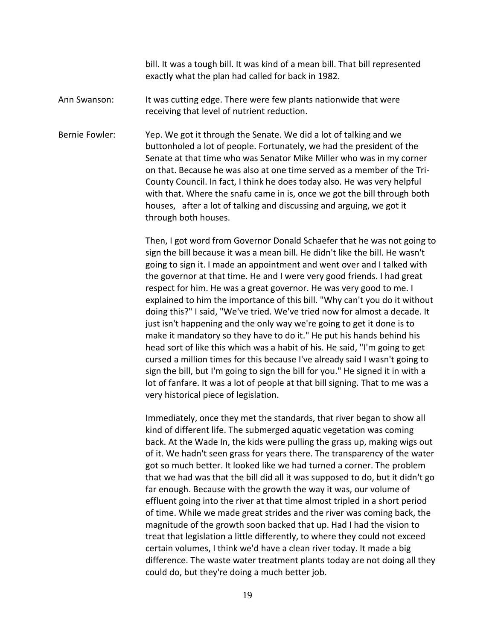bill. It was a tough bill. It was kind of a mean bill. That bill represented exactly what the plan had called for back in 1982.

Ann Swanson: It was cutting edge. There were few plants nationwide that were receiving that level of nutrient reduction.

Bernie Fowler: Yep. We got it through the Senate. We did a lot of talking and we buttonholed a lot of people. Fortunately, we had the president of the Senate at that time who was Senator Mike Miller who was in my corner on that. Because he was also at one time served as a member of the Tri-County Council. In fact, I think he does today also. He was very helpful with that. Where the snafu came in is, once we got the bill through both houses, after a lot of talking and discussing and arguing, we got it through both houses.

> Then, I got word from Governor Donald Schaefer that he was not going to sign the bill because it was a mean bill. He didn't like the bill. He wasn't going to sign it. I made an appointment and went over and I talked with the governor at that time. He and I were very good friends. I had great respect for him. He was a great governor. He was very good to me. I explained to him the importance of this bill. "Why can't you do it without doing this?" I said, "We've tried. We've tried now for almost a decade. It just isn't happening and the only way we're going to get it done is to make it mandatory so they have to do it." He put his hands behind his head sort of like this which was a habit of his. He said, "I'm going to get cursed a million times for this because I've already said I wasn't going to sign the bill, but I'm going to sign the bill for you." He signed it in with a lot of fanfare. It was a lot of people at that bill signing. That to me was a very historical piece of legislation.

> Immediately, once they met the standards, that river began to show all kind of different life. The submerged aquatic vegetation was coming back. At the Wade In, the kids were pulling the grass up, making wigs out of it. We hadn't seen grass for years there. The transparency of the water got so much better. It looked like we had turned a corner. The problem that we had was that the bill did all it was supposed to do, but it didn't go far enough. Because with the growth the way it was, our volume of effluent going into the river at that time almost tripled in a short period of time. While we made great strides and the river was coming back, the magnitude of the growth soon backed that up. Had I had the vision to treat that legislation a little differently, to where they could not exceed certain volumes, I think we'd have a clean river today. It made a big difference. The waste water treatment plants today are not doing all they could do, but they're doing a much better job.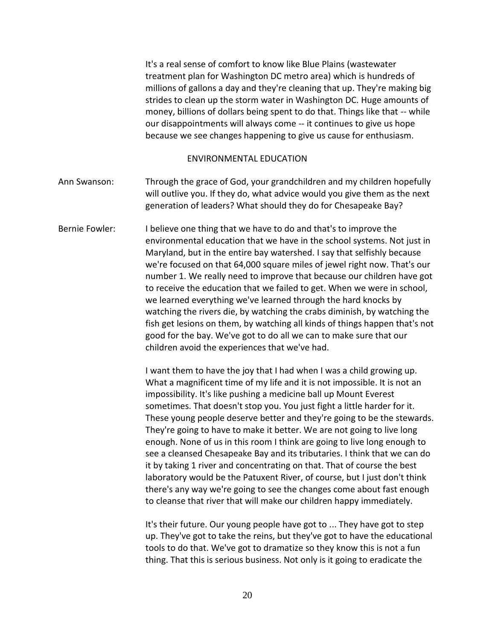It's a real sense of comfort to know like Blue Plains (wastewater treatment plan for Washington DC metro area) which is hundreds of millions of gallons a day and they're cleaning that up. They're making big strides to clean up the storm water in Washington DC. Huge amounts of money, billions of dollars being spent to do that. Things like that -- while our disappointments will always come -- it continues to give us hope because we see changes happening to give us cause for enthusiasm.

#### ENVIRONMENTAL EDUCATION

- Ann Swanson: Through the grace of God, your grandchildren and my children hopefully will outlive you. If they do, what advice would you give them as the next generation of leaders? What should they do for Chesapeake Bay?
- Bernie Fowler: I believe one thing that we have to do and that's to improve the environmental education that we have in the school systems. Not just in Maryland, but in the entire bay watershed. I say that selfishly because we're focused on that 64,000 square miles of jewel right now. That's our number 1. We really need to improve that because our children have got to receive the education that we failed to get. When we were in school, we learned everything we've learned through the hard knocks by watching the rivers die, by watching the crabs diminish, by watching the fish get lesions on them, by watching all kinds of things happen that's not good for the bay. We've got to do all we can to make sure that our children avoid the experiences that we've had.

I want them to have the joy that I had when I was a child growing up. What a magnificent time of my life and it is not impossible. It is not an impossibility. It's like pushing a medicine ball up Mount Everest sometimes. That doesn't stop you. You just fight a little harder for it. These young people deserve better and they're going to be the stewards. They're going to have to make it better. We are not going to live long enough. None of us in this room I think are going to live long enough to see a cleansed Chesapeake Bay and its tributaries. I think that we can do it by taking 1 river and concentrating on that. That of course the best laboratory would be the Patuxent River, of course, but I just don't think there's any way we're going to see the changes come about fast enough to cleanse that river that will make our children happy immediately.

It's their future. Our young people have got to ... They have got to step up. They've got to take the reins, but they've got to have the educational tools to do that. We've got to dramatize so they know this is not a fun thing. That this is serious business. Not only is it going to eradicate the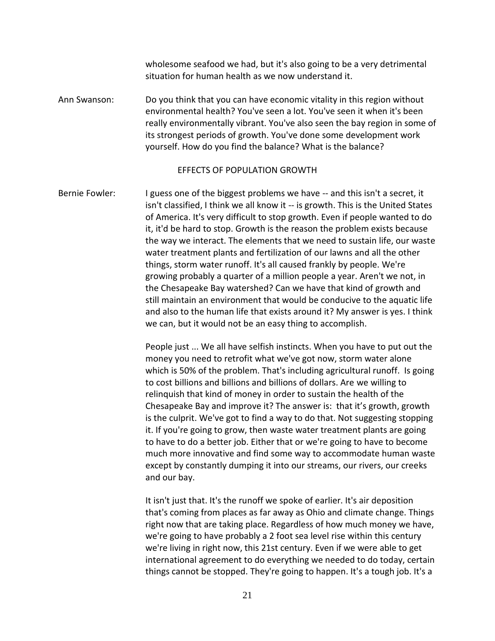wholesome seafood we had, but it's also going to be a very detrimental situation for human health as we now understand it.

Ann Swanson: Do you think that you can have economic vitality in this region without environmental health? You've seen a lot. You've seen it when it's been really environmentally vibrant. You've also seen the bay region in some of its strongest periods of growth. You've done some development work yourself. How do you find the balance? What is the balance?

### EFFECTS OF POPULATION GROWTH

Bernie Fowler: I guess one of the biggest problems we have -- and this isn't a secret, it isn't classified, I think we all know it -- is growth. This is the United States of America. It's very difficult to stop growth. Even if people wanted to do it, it'd be hard to stop. Growth is the reason the problem exists because the way we interact. The elements that we need to sustain life, our waste water treatment plants and fertilization of our lawns and all the other things, storm water runoff. It's all caused frankly by people. We're growing probably a quarter of a million people a year. Aren't we not, in the Chesapeake Bay watershed? Can we have that kind of growth and still maintain an environment that would be conducive to the aquatic life and also to the human life that exists around it? My answer is yes. I think we can, but it would not be an easy thing to accomplish.

> People just ... We all have selfish instincts. When you have to put out the money you need to retrofit what we've got now, storm water alone which is 50% of the problem. That's including agricultural runoff. Is going to cost billions and billions and billions of dollars. Are we willing to relinquish that kind of money in order to sustain the health of the Chesapeake Bay and improve it? The answer is: that it's growth, growth is the culprit. We've got to find a way to do that. Not suggesting stopping it. If you're going to grow, then waste water treatment plants are going to have to do a better job. Either that or we're going to have to become much more innovative and find some way to accommodate human waste except by constantly dumping it into our streams, our rivers, our creeks and our bay.

> It isn't just that. It's the runoff we spoke of earlier. It's air deposition that's coming from places as far away as Ohio and climate change. Things right now that are taking place. Regardless of how much money we have, we're going to have probably a 2 foot sea level rise within this century we're living in right now, this 21st century. Even if we were able to get international agreement to do everything we needed to do today, certain things cannot be stopped. They're going to happen. It's a tough job. It's a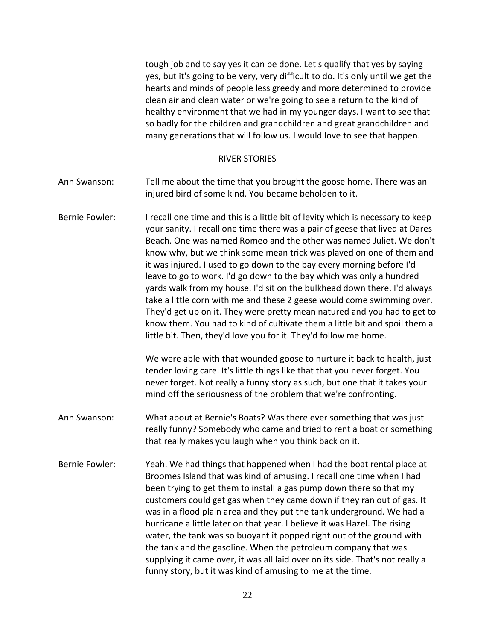tough job and to say yes it can be done. Let's qualify that yes by saying yes, but it's going to be very, very difficult to do. It's only until we get the hearts and minds of people less greedy and more determined to provide clean air and clean water or we're going to see a return to the kind of healthy environment that we had in my younger days. I want to see that so badly for the children and grandchildren and great grandchildren and many generations that will follow us. I would love to see that happen.

#### RIVER STORIES

- Ann Swanson: Tell me about the time that you brought the goose home. There was an injured bird of some kind. You became beholden to it.
- Bernie Fowler: I recall one time and this is a little bit of levity which is necessary to keep your sanity. I recall one time there was a pair of geese that lived at Dares Beach. One was named Romeo and the other was named Juliet. We don't know why, but we think some mean trick was played on one of them and it was injured. I used to go down to the bay every morning before I'd leave to go to work. I'd go down to the bay which was only a hundred yards walk from my house. I'd sit on the bulkhead down there. I'd always take a little corn with me and these 2 geese would come swimming over. They'd get up on it. They were pretty mean natured and you had to get to know them. You had to kind of cultivate them a little bit and spoil them a little bit. Then, they'd love you for it. They'd follow me home.

We were able with that wounded goose to nurture it back to health, just tender loving care. It's little things like that that you never forget. You never forget. Not really a funny story as such, but one that it takes your mind off the seriousness of the problem that we're confronting.

- Ann Swanson: What about at Bernie's Boats? Was there ever something that was just really funny? Somebody who came and tried to rent a boat or something that really makes you laugh when you think back on it.
- Bernie Fowler: Yeah. We had things that happened when I had the boat rental place at Broomes Island that was kind of amusing. I recall one time when I had been trying to get them to install a gas pump down there so that my customers could get gas when they came down if they ran out of gas. It was in a flood plain area and they put the tank underground. We had a hurricane a little later on that year. I believe it was Hazel. The rising water, the tank was so buoyant it popped right out of the ground with the tank and the gasoline. When the petroleum company that was supplying it came over, it was all laid over on its side. That's not really a funny story, but it was kind of amusing to me at the time.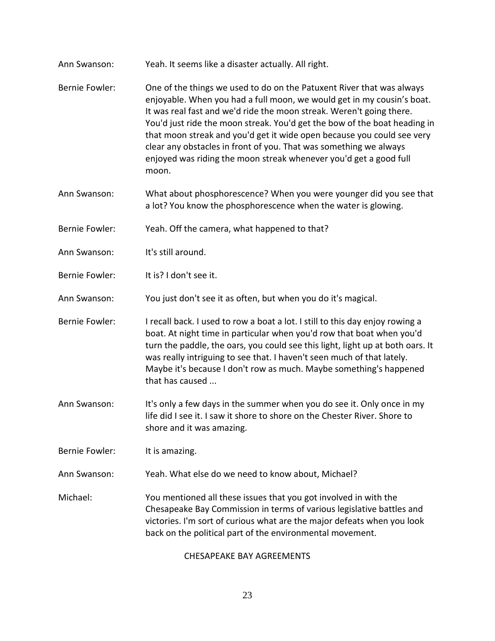- Ann Swanson: Yeah. It seems like a disaster actually. All right.
- Bernie Fowler: One of the things we used to do on the Patuxent River that was always enjoyable. When you had a full moon, we would get in my cousin's boat. It was real fast and we'd ride the moon streak. Weren't going there. You'd just ride the moon streak. You'd get the bow of the boat heading in that moon streak and you'd get it wide open because you could see very clear any obstacles in front of you. That was something we always enjoyed was riding the moon streak whenever you'd get a good full moon.
- Ann Swanson: What about phosphorescence? When you were younger did you see that a lot? You know the phosphorescence when the water is glowing.
- Bernie Fowler: Yeah. Off the camera, what happened to that?
- Ann Swanson: It's still around.
- Bernie Fowler: It is? I don't see it.
- Ann Swanson: You just don't see it as often, but when you do it's magical.
- Bernie Fowler: I recall back. I used to row a boat a lot. I still to this day enjoy rowing a boat. At night time in particular when you'd row that boat when you'd turn the paddle, the oars, you could see this light, light up at both oars. It was really intriguing to see that. I haven't seen much of that lately. Maybe it's because I don't row as much. Maybe something's happened that has caused ...
- Ann Swanson: It's only a few days in the summer when you do see it. Only once in my life did I see it. I saw it shore to shore on the Chester River. Shore to shore and it was amazing.
- Bernie Fowler: It is amazing.
- Ann Swanson: Yeah. What else do we need to know about, Michael?

Michael: You mentioned all these issues that you got involved in with the Chesapeake Bay Commission in terms of various legislative battles and victories. I'm sort of curious what are the major defeats when you look back on the political part of the environmental movement.

### CHESAPEAKE BAY AGREEMENTS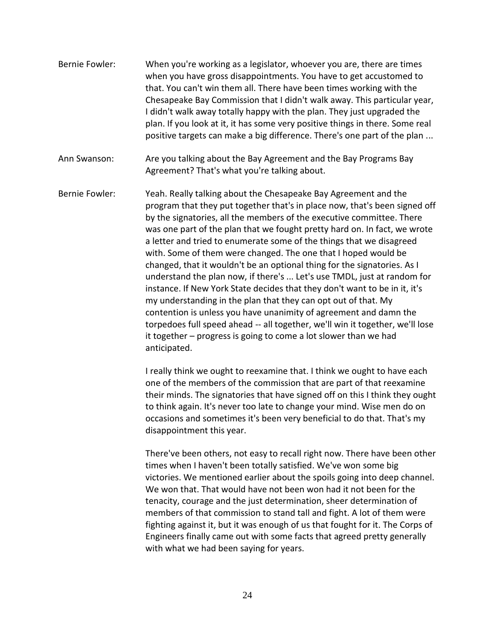- Bernie Fowler: When you're working as a legislator, whoever you are, there are times when you have gross disappointments. You have to get accustomed to that. You can't win them all. There have been times working with the Chesapeake Bay Commission that I didn't walk away. This particular year, I didn't walk away totally happy with the plan. They just upgraded the plan. If you look at it, it has some very positive things in there. Some real positive targets can make a big difference. There's one part of the plan ...
- Ann Swanson: Are you talking about the Bay Agreement and the Bay Programs Bay Agreement? That's what you're talking about.
- Bernie Fowler: Yeah. Really talking about the Chesapeake Bay Agreement and the program that they put together that's in place now, that's been signed off by the signatories, all the members of the executive committee. There was one part of the plan that we fought pretty hard on. In fact, we wrote a letter and tried to enumerate some of the things that we disagreed with. Some of them were changed. The one that I hoped would be changed, that it wouldn't be an optional thing for the signatories. As I understand the plan now, if there's ... Let's use TMDL, just at random for instance. If New York State decides that they don't want to be in it, it's my understanding in the plan that they can opt out of that. My contention is unless you have unanimity of agreement and damn the torpedoes full speed ahead -- all together, we'll win it together, we'll lose it together – progress is going to come a lot slower than we had anticipated.

I really think we ought to reexamine that. I think we ought to have each one of the members of the commission that are part of that reexamine their minds. The signatories that have signed off on this I think they ought to think again. It's never too late to change your mind. Wise men do on occasions and sometimes it's been very beneficial to do that. That's my disappointment this year.

There've been others, not easy to recall right now. There have been other times when I haven't been totally satisfied. We've won some big victories. We mentioned earlier about the spoils going into deep channel. We won that. That would have not been won had it not been for the tenacity, courage and the just determination, sheer determination of members of that commission to stand tall and fight. A lot of them were fighting against it, but it was enough of us that fought for it. The Corps of Engineers finally came out with some facts that agreed pretty generally with what we had been saying for years.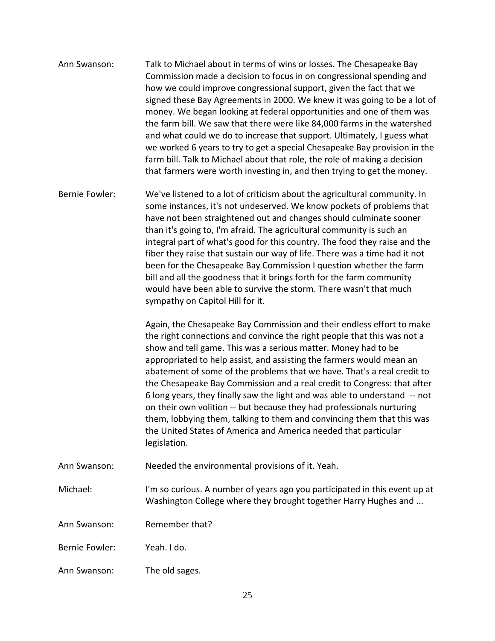- Ann Swanson: Talk to Michael about in terms of wins or losses. The Chesapeake Bay Commission made a decision to focus in on congressional spending and how we could improve congressional support, given the fact that we signed these Bay Agreements in 2000. We knew it was going to be a lot of money. We began looking at federal opportunities and one of them was the farm bill. We saw that there were like 84,000 farms in the watershed and what could we do to increase that support. Ultimately, I guess what we worked 6 years to try to get a special Chesapeake Bay provision in the farm bill. Talk to Michael about that role, the role of making a decision that farmers were worth investing in, and then trying to get the money.
- Bernie Fowler: We've listened to a lot of criticism about the agricultural community. In some instances, it's not undeserved. We know pockets of problems that have not been straightened out and changes should culminate sooner than it's going to, I'm afraid. The agricultural community is such an integral part of what's good for this country. The food they raise and the fiber they raise that sustain our way of life. There was a time had it not been for the Chesapeake Bay Commission I question whether the farm bill and all the goodness that it brings forth for the farm community would have been able to survive the storm. There wasn't that much sympathy on Capitol Hill for it.

Again, the Chesapeake Bay Commission and their endless effort to make the right connections and convince the right people that this was not a show and tell game. This was a serious matter. Money had to be appropriated to help assist, and assisting the farmers would mean an abatement of some of the problems that we have. That's a real credit to the Chesapeake Bay Commission and a real credit to Congress: that after 6 long years, they finally saw the light and was able to understand -- not on their own volition -- but because they had professionals nurturing them, lobbying them, talking to them and convincing them that this was the United States of America and America needed that particular legislation.

- Ann Swanson: Needed the environmental provisions of it. Yeah.
- Michael: I'm so curious. A number of years ago you participated in this event up at Washington College where they brought together Harry Hughes and ...
- Ann Swanson: Remember that?
- Bernie Fowler: Yeah. I do.
- Ann Swanson: The old sages.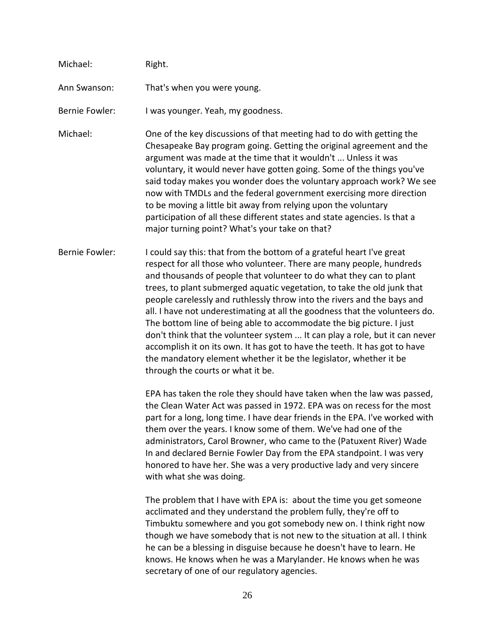| Michael:              | Right.                                                                                                                                                                                                                                                                                                                                                                                                                                                                                                                                                                                                                                                                                                                                                                                                   |
|-----------------------|----------------------------------------------------------------------------------------------------------------------------------------------------------------------------------------------------------------------------------------------------------------------------------------------------------------------------------------------------------------------------------------------------------------------------------------------------------------------------------------------------------------------------------------------------------------------------------------------------------------------------------------------------------------------------------------------------------------------------------------------------------------------------------------------------------|
| Ann Swanson:          | That's when you were young.                                                                                                                                                                                                                                                                                                                                                                                                                                                                                                                                                                                                                                                                                                                                                                              |
| <b>Bernie Fowler:</b> | I was younger. Yeah, my goodness.                                                                                                                                                                                                                                                                                                                                                                                                                                                                                                                                                                                                                                                                                                                                                                        |
| Michael:              | One of the key discussions of that meeting had to do with getting the<br>Chesapeake Bay program going. Getting the original agreement and the<br>argument was made at the time that it wouldn't  Unless it was<br>voluntary, it would never have gotten going. Some of the things you've<br>said today makes you wonder does the voluntary approach work? We see<br>now with TMDLs and the federal government exercising more direction<br>to be moving a little bit away from relying upon the voluntary<br>participation of all these different states and state agencies. Is that a<br>major turning point? What's your take on that?                                                                                                                                                                 |
| <b>Bernie Fowler:</b> | I could say this: that from the bottom of a grateful heart I've great<br>respect for all those who volunteer. There are many people, hundreds<br>and thousands of people that volunteer to do what they can to plant<br>trees, to plant submerged aquatic vegetation, to take the old junk that<br>people carelessly and ruthlessly throw into the rivers and the bays and<br>all. I have not underestimating at all the goodness that the volunteers do.<br>The bottom line of being able to accommodate the big picture. I just<br>don't think that the volunteer system  It can play a role, but it can never<br>accomplish it on its own. It has got to have the teeth. It has got to have<br>the mandatory element whether it be the legislator, whether it be<br>through the courts or what it be. |
|                       | EPA has taken the role they should have taken when the law was passed,<br>the Clean Water Act was passed in 1972. EPA was on recess for the most<br>part for a long, long time. I have dear friends in the EPA. I've worked with<br>them over the years. I know some of them. We've had one of the<br>administrators, Carol Browner, who came to the (Patuxent River) Wade<br>In and declared Bernie Fowler Day from the EPA standpoint. I was very<br>honored to have her. She was a very productive lady and very sincere<br>with what she was doing.                                                                                                                                                                                                                                                  |
|                       | The problem that I have with EPA is: about the time you get someone<br>acclimated and they understand the problem fully, they're off to<br>Timbuktu somewhere and you got somebody new on. I think right now<br>though we have somebody that is not new to the situation at all. I think<br>he can be a blessing in disguise because he doesn't have to learn. He<br>knows. He knows when he was a Marylander. He knows when he was<br>secretary of one of our regulatory agencies.                                                                                                                                                                                                                                                                                                                      |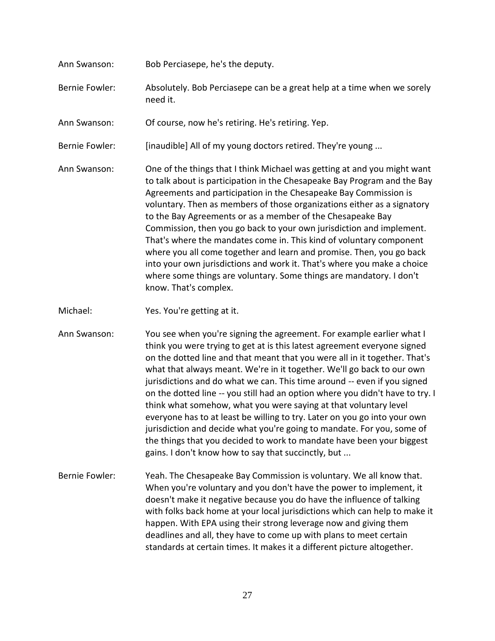- Ann Swanson: Bob Perciasepe, he's the deputy. Bernie Fowler: Absolutely. Bob Perciasepe can be a great help at a time when we sorely need it. Ann Swanson: Of course, now he's retiring. He's retiring. Yep. Bernie Fowler: [inaudible] All of my young doctors retired. They're young ... Ann Swanson: One of the things that I think Michael was getting at and you might want to talk about is participation in the Chesapeake Bay Program and the Bay Agreements and participation in the Chesapeake Bay Commission is voluntary. Then as members of those organizations either as a signatory to the Bay Agreements or as a member of the Chesapeake Bay Commission, then you go back to your own jurisdiction and implement. That's where the mandates come in. This kind of voluntary component where you all come together and learn and promise. Then, you go back into your own jurisdictions and work it. That's where you make a choice where some things are voluntary. Some things are mandatory. I don't know. That's complex.
- Michael: Yes. You're getting at it.
- Ann Swanson: You see when you're signing the agreement. For example earlier what I think you were trying to get at is this latest agreement everyone signed on the dotted line and that meant that you were all in it together. That's what that always meant. We're in it together. We'll go back to our own jurisdictions and do what we can. This time around -- even if you signed on the dotted line -- you still had an option where you didn't have to try. I think what somehow, what you were saying at that voluntary level everyone has to at least be willing to try. Later on you go into your own jurisdiction and decide what you're going to mandate. For you, some of the things that you decided to work to mandate have been your biggest gains. I don't know how to say that succinctly, but ...
- Bernie Fowler: Yeah. The Chesapeake Bay Commission is voluntary. We all know that. When you're voluntary and you don't have the power to implement, it doesn't make it negative because you do have the influence of talking with folks back home at your local jurisdictions which can help to make it happen. With EPA using their strong leverage now and giving them deadlines and all, they have to come up with plans to meet certain standards at certain times. It makes it a different picture altogether.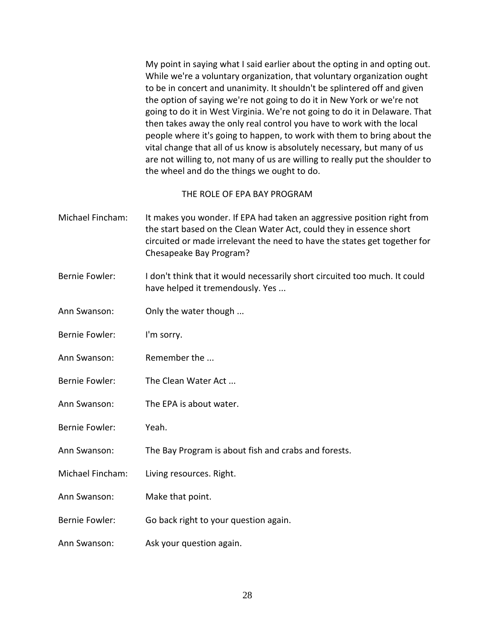My point in saying what I said earlier about the opting in and opting out. While we're a voluntary organization, that voluntary organization ought to be in concert and unanimity. It shouldn't be splintered off and given the option of saying we're not going to do it in New York or we're not going to do it in West Virginia. We're not going to do it in Delaware. That then takes away the only real control you have to work with the local people where it's going to happen, to work with them to bring about the vital change that all of us know is absolutely necessary, but many of us are not willing to, not many of us are willing to really put the shoulder to the wheel and do the things we ought to do.

### THE ROLE OF EPA BAY PROGRAM

- Michael Fincham: It makes you wonder. If EPA had taken an aggressive position right from the start based on the Clean Water Act, could they in essence short circuited or made irrelevant the need to have the states get together for Chesapeake Bay Program?
- Bernie Fowler: I don't think that it would necessarily short circuited too much. It could have helped it tremendously. Yes ...
- Ann Swanson: Only the water though ...
- Bernie Fowler: I'm sorry.
- Ann Swanson: Remember the ...
- Bernie Fowler: The Clean Water Act ...
- Ann Swanson: The EPA is about water.
- Bernie Fowler: Yeah.
- Ann Swanson: The Bay Program is about fish and crabs and forests.
- Michael Fincham: Living resources. Right.
- Ann Swanson: Make that point.
- Bernie Fowler: Go back right to your question again.
- Ann Swanson: Ask your question again.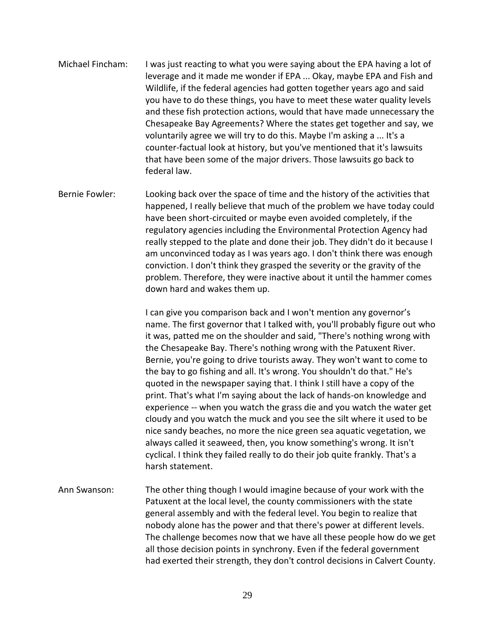- Michael Fincham: I was just reacting to what you were saying about the EPA having a lot of leverage and it made me wonder if EPA ... Okay, maybe EPA and Fish and Wildlife, if the federal agencies had gotten together years ago and said you have to do these things, you have to meet these water quality levels and these fish protection actions, would that have made unnecessary the Chesapeake Bay Agreements? Where the states get together and say, we voluntarily agree we will try to do this. Maybe I'm asking a ... It's a counter-factual look at history, but you've mentioned that it's lawsuits that have been some of the major drivers. Those lawsuits go back to federal law.
- Bernie Fowler: Looking back over the space of time and the history of the activities that happened, I really believe that much of the problem we have today could have been short-circuited or maybe even avoided completely, if the regulatory agencies including the Environmental Protection Agency had really stepped to the plate and done their job. They didn't do it because I am unconvinced today as I was years ago. I don't think there was enough conviction. I don't think they grasped the severity or the gravity of the problem. Therefore, they were inactive about it until the hammer comes down hard and wakes them up.

I can give you comparison back and I won't mention any governor's name. The first governor that I talked with, you'll probably figure out who it was, patted me on the shoulder and said, "There's nothing wrong with the Chesapeake Bay. There's nothing wrong with the Patuxent River. Bernie, you're going to drive tourists away. They won't want to come to the bay to go fishing and all. It's wrong. You shouldn't do that." He's quoted in the newspaper saying that. I think I still have a copy of the print. That's what I'm saying about the lack of hands-on knowledge and experience -- when you watch the grass die and you watch the water get cloudy and you watch the muck and you see the silt where it used to be nice sandy beaches, no more the nice green sea aquatic vegetation, we always called it seaweed, then, you know something's wrong. It isn't cyclical. I think they failed really to do their job quite frankly. That's a harsh statement.

Ann Swanson: The other thing though I would imagine because of your work with the Patuxent at the local level, the county commissioners with the state general assembly and with the federal level. You begin to realize that nobody alone has the power and that there's power at different levels. The challenge becomes now that we have all these people how do we get all those decision points in synchrony. Even if the federal government had exerted their strength, they don't control decisions in Calvert County.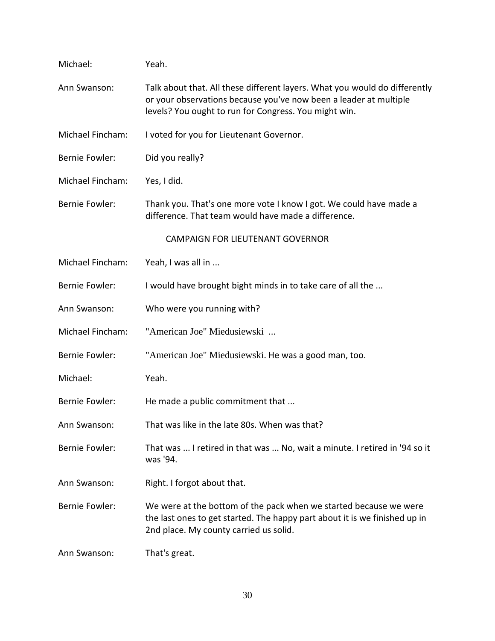| Michael:              | Yeah.                                                                                                                                                                                                    |
|-----------------------|----------------------------------------------------------------------------------------------------------------------------------------------------------------------------------------------------------|
| Ann Swanson:          | Talk about that. All these different layers. What you would do differently<br>or your observations because you've now been a leader at multiple<br>levels? You ought to run for Congress. You might win. |
| Michael Fincham:      | I voted for you for Lieutenant Governor.                                                                                                                                                                 |
| <b>Bernie Fowler:</b> | Did you really?                                                                                                                                                                                          |
| Michael Fincham:      | Yes, I did.                                                                                                                                                                                              |
| <b>Bernie Fowler:</b> | Thank you. That's one more vote I know I got. We could have made a<br>difference. That team would have made a difference.                                                                                |
|                       | <b>CAMPAIGN FOR LIEUTENANT GOVERNOR</b>                                                                                                                                                                  |
| Michael Fincham:      | Yeah, I was all in                                                                                                                                                                                       |
| <b>Bernie Fowler:</b> | I would have brought bight minds in to take care of all the                                                                                                                                              |
| Ann Swanson:          | Who were you running with?                                                                                                                                                                               |
| Michael Fincham:      | "American Joe" Miedusiewski                                                                                                                                                                              |
| <b>Bernie Fowler:</b> | "American Joe" Miedusiewski. He was a good man, too.                                                                                                                                                     |
| Michael:              | Yeah.                                                                                                                                                                                                    |
| <b>Bernie Fowler:</b> | He made a public commitment that                                                                                                                                                                         |
| Ann Swanson:          | That was like in the late 80s. When was that?                                                                                                                                                            |
| <b>Bernie Fowler:</b> | That was  I retired in that was  No, wait a minute. I retired in '94 so it<br>was '94.                                                                                                                   |
| Ann Swanson:          | Right. I forgot about that.                                                                                                                                                                              |
| <b>Bernie Fowler:</b> | We were at the bottom of the pack when we started because we were<br>the last ones to get started. The happy part about it is we finished up in<br>2nd place. My county carried us solid.                |
| Ann Swanson:          | That's great.                                                                                                                                                                                            |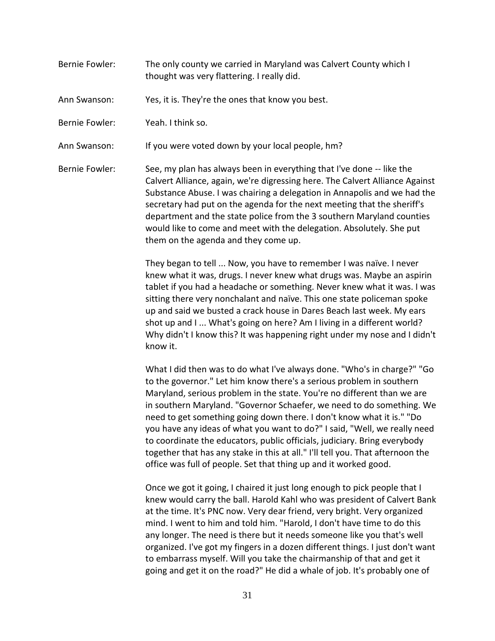- Bernie Fowler: The only county we carried in Maryland was Calvert County which I thought was very flattering. I really did.
- Ann Swanson: Yes, it is. They're the ones that know you best.
- Bernie Fowler: Yeah. I think so.
- Ann Swanson: If you were voted down by your local people, hm?
- Bernie Fowler: See, my plan has always been in everything that I've done -- like the Calvert Alliance, again, we're digressing here. The Calvert Alliance Against Substance Abuse. I was chairing a delegation in Annapolis and we had the secretary had put on the agenda for the next meeting that the sheriff's department and the state police from the 3 southern Maryland counties would like to come and meet with the delegation. Absolutely. She put them on the agenda and they come up.

They began to tell ... Now, you have to remember I was naïve. I never knew what it was, drugs. I never knew what drugs was. Maybe an aspirin tablet if you had a headache or something. Never knew what it was. I was sitting there very nonchalant and naïve. This one state policeman spoke up and said we busted a crack house in Dares Beach last week. My ears shot up and I ... What's going on here? Am I living in a different world? Why didn't I know this? It was happening right under my nose and I didn't know it.

What I did then was to do what I've always done. "Who's in charge?" "Go to the governor." Let him know there's a serious problem in southern Maryland, serious problem in the state. You're no different than we are in southern Maryland. "Governor Schaefer, we need to do something. We need to get something going down there. I don't know what it is." "Do you have any ideas of what you want to do?" I said, "Well, we really need to coordinate the educators, public officials, judiciary. Bring everybody together that has any stake in this at all." I'll tell you. That afternoon the office was full of people. Set that thing up and it worked good.

Once we got it going, I chaired it just long enough to pick people that I knew would carry the ball. Harold Kahl who was president of Calvert Bank at the time. It's PNC now. Very dear friend, very bright. Very organized mind. I went to him and told him. "Harold, I don't have time to do this any longer. The need is there but it needs someone like you that's well organized. I've got my fingers in a dozen different things. I just don't want to embarrass myself. Will you take the chairmanship of that and get it going and get it on the road?" He did a whale of job. It's probably one of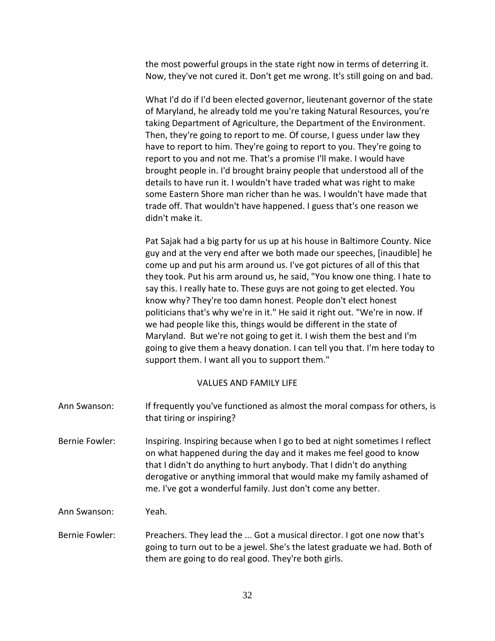the most powerful groups in the state right now in terms of deterring it. Now, they've not cured it. Don't get me wrong. It's still going on and bad.

What I'd do if I'd been elected governor, lieutenant governor of the state of Maryland, he already told me you're taking Natural Resources, you're taking Department of Agriculture, the Department of the Environment. Then, they're going to report to me. Of course, I guess under law they have to report to him. They're going to report to you. They're going to report to you and not me. That's a promise I'll make. I would have brought people in. I'd brought brainy people that understood all of the details to have run it. I wouldn't have traded what was right to make some Eastern Shore man richer than he was. I wouldn't have made that trade off. That wouldn't have happened. I guess that's one reason we didn't make it.

Pat Sajak had a big party for us up at his house in Baltimore County. Nice guy and at the very end after we both made our speeches, [inaudible] he come up and put his arm around us. I've got pictures of all of this that they took. Put his arm around us, he said, "You know one thing. I hate to say this. I really hate to. These guys are not going to get elected. You know why? They're too damn honest. People don't elect honest politicians that's why we're in it." He said it right out. "We're in now. If we had people like this, things would be different in the state of Maryland. But we're not going to get it. I wish them the best and I'm going to give them a heavy donation. I can tell you that. I'm here today to support them. I want all you to support them."

### VALUES AND FAMILY LIFE

Ann Swanson: If frequently you've functioned as almost the moral compass for others, is that tiring or inspiring? Bernie Fowler: Inspiring. Inspiring because when I go to bed at night sometimes I reflect on what happened during the day and it makes me feel good to know that I didn't do anything to hurt anybody. That I didn't do anything derogative or anything immoral that would make my family ashamed of me. I've got a wonderful family. Just don't come any better. Ann Swanson: Yeah. Bernie Fowler: Preachers. They lead the ... Got a musical director. I got one now that's going to turn out to be a jewel. She's the latest graduate we had. Both of them are going to do real good. They're both girls.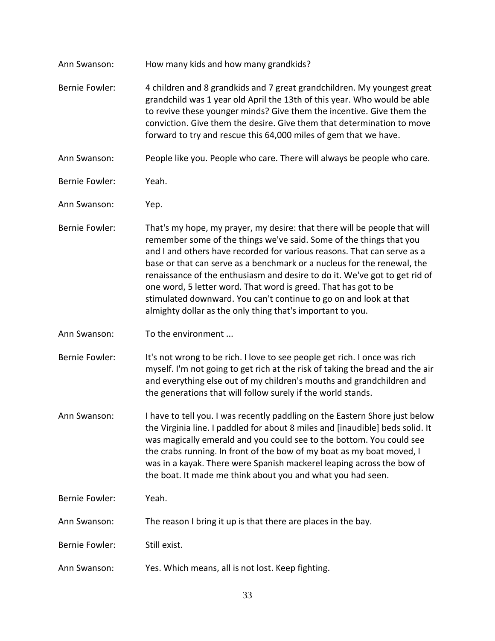| How many kids and how many grandkids?                                                                                                                                                                                                                                                                                                                                                                                                                                                                                        |
|------------------------------------------------------------------------------------------------------------------------------------------------------------------------------------------------------------------------------------------------------------------------------------------------------------------------------------------------------------------------------------------------------------------------------------------------------------------------------------------------------------------------------|
| 4 children and 8 grandkids and 7 great grandchildren. My youngest great<br>grandchild was 1 year old April the 13th of this year. Who would be able<br>to revive these younger minds? Give them the incentive. Give them the<br>conviction. Give them the desire. Give them that determination to move<br>forward to try and rescue this 64,000 miles of gem that we have.                                                                                                                                                   |
| People like you. People who care. There will always be people who care.                                                                                                                                                                                                                                                                                                                                                                                                                                                      |
| Yeah.                                                                                                                                                                                                                                                                                                                                                                                                                                                                                                                        |
| Yep.                                                                                                                                                                                                                                                                                                                                                                                                                                                                                                                         |
| That's my hope, my prayer, my desire: that there will be people that will<br>remember some of the things we've said. Some of the things that you<br>and I and others have recorded for various reasons. That can serve as a<br>base or that can serve as a benchmark or a nucleus for the renewal, the<br>renaissance of the enthusiasm and desire to do it. We've got to get rid of<br>one word, 5 letter word. That word is greed. That has got to be<br>stimulated downward. You can't continue to go on and look at that |
| almighty dollar as the only thing that's important to you.                                                                                                                                                                                                                                                                                                                                                                                                                                                                   |
| To the environment                                                                                                                                                                                                                                                                                                                                                                                                                                                                                                           |
| It's not wrong to be rich. I love to see people get rich. I once was rich<br>myself. I'm not going to get rich at the risk of taking the bread and the air<br>and everything else out of my children's mouths and grandchildren and<br>the generations that will follow surely if the world stands.                                                                                                                                                                                                                          |
| I have to tell you. I was recently paddling on the Eastern Shore just below<br>the Virginia line. I paddled for about 8 miles and [inaudible] beds solid. It<br>was magically emerald and you could see to the bottom. You could see<br>the crabs running. In front of the bow of my boat as my boat moved, I<br>was in a kayak. There were Spanish mackerel leaping across the bow of<br>the boat. It made me think about you and what you had seen.                                                                        |
| Yeah.                                                                                                                                                                                                                                                                                                                                                                                                                                                                                                                        |
| The reason I bring it up is that there are places in the bay.                                                                                                                                                                                                                                                                                                                                                                                                                                                                |
| Still exist.                                                                                                                                                                                                                                                                                                                                                                                                                                                                                                                 |
|                                                                                                                                                                                                                                                                                                                                                                                                                                                                                                                              |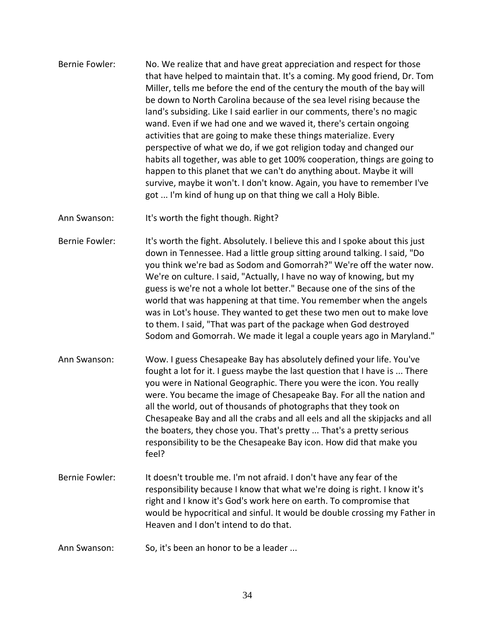- Bernie Fowler: No. We realize that and have great appreciation and respect for those that have helped to maintain that. It's a coming. My good friend, Dr. Tom Miller, tells me before the end of the century the mouth of the bay will be down to North Carolina because of the sea level rising because the land's subsiding. Like I said earlier in our comments, there's no magic wand. Even if we had one and we waved it, there's certain ongoing activities that are going to make these things materialize. Every perspective of what we do, if we got religion today and changed our habits all together, was able to get 100% cooperation, things are going to happen to this planet that we can't do anything about. Maybe it will survive, maybe it won't. I don't know. Again, you have to remember I've got ... I'm kind of hung up on that thing we call a Holy Bible.
- Ann Swanson: It's worth the fight though. Right?
- Bernie Fowler: It's worth the fight. Absolutely. I believe this and I spoke about this just down in Tennessee. Had a little group sitting around talking. I said, "Do you think we're bad as Sodom and Gomorrah?" We're off the water now. We're on culture. I said, "Actually, I have no way of knowing, but my guess is we're not a whole lot better." Because one of the sins of the world that was happening at that time. You remember when the angels was in Lot's house. They wanted to get these two men out to make love to them. I said, "That was part of the package when God destroyed Sodom and Gomorrah. We made it legal a couple years ago in Maryland."
- Ann Swanson: Wow. I guess Chesapeake Bay has absolutely defined your life. You've fought a lot for it. I guess maybe the last question that I have is ... There you were in National Geographic. There you were the icon. You really were. You became the image of Chesapeake Bay. For all the nation and all the world, out of thousands of photographs that they took on Chesapeake Bay and all the crabs and all eels and all the skipjacks and all the boaters, they chose you. That's pretty ... That's a pretty serious responsibility to be the Chesapeake Bay icon. How did that make you feel?
- Bernie Fowler: It doesn't trouble me. I'm not afraid. I don't have any fear of the responsibility because I know that what we're doing is right. I know it's right and I know it's God's work here on earth. To compromise that would be hypocritical and sinful. It would be double crossing my Father in Heaven and I don't intend to do that.
- Ann Swanson: So, it's been an honor to be a leader ...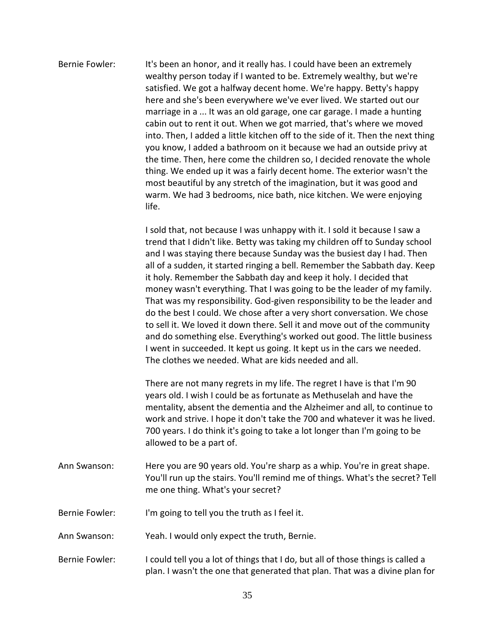| Bernie Fowler: | It's been an honor, and it really has. I could have been an extremely<br>wealthy person today if I wanted to be. Extremely wealthy, but we're<br>satisfied. We got a halfway decent home. We're happy. Betty's happy<br>here and she's been everywhere we've ever lived. We started out our<br>marriage in a  It was an old garage, one car garage. I made a hunting<br>cabin out to rent it out. When we got married, that's where we moved<br>into. Then, I added a little kitchen off to the side of it. Then the next thing<br>you know, I added a bathroom on it because we had an outside privy at<br>the time. Then, here come the children so, I decided renovate the whole<br>thing. We ended up it was a fairly decent home. The exterior wasn't the<br>most beautiful by any stretch of the imagination, but it was good and<br>warm. We had 3 bedrooms, nice bath, nice kitchen. We were enjoying<br>life.  |
|----------------|-------------------------------------------------------------------------------------------------------------------------------------------------------------------------------------------------------------------------------------------------------------------------------------------------------------------------------------------------------------------------------------------------------------------------------------------------------------------------------------------------------------------------------------------------------------------------------------------------------------------------------------------------------------------------------------------------------------------------------------------------------------------------------------------------------------------------------------------------------------------------------------------------------------------------|
|                | I sold that, not because I was unhappy with it. I sold it because I saw a<br>trend that I didn't like. Betty was taking my children off to Sunday school<br>and I was staying there because Sunday was the busiest day I had. Then<br>all of a sudden, it started ringing a bell. Remember the Sabbath day. Keep<br>it holy. Remember the Sabbath day and keep it holy. I decided that<br>money wasn't everything. That I was going to be the leader of my family.<br>That was my responsibility. God-given responsibility to be the leader and<br>do the best I could. We chose after a very short conversation. We chose<br>to sell it. We loved it down there. Sell it and move out of the community<br>and do something else. Everything's worked out good. The little business<br>I went in succeeded. It kept us going. It kept us in the cars we needed.<br>The clothes we needed. What are kids needed and all. |
|                | There are not many regrets in my life. The regret I have is that I'm 90<br>years old. I wish I could be as fortunate as Methuselah and have the<br>mentality, absent the dementia and the Alzheimer and all, to continue to<br>work and strive. I hope it don't take the 700 and whatever it was he lived.<br>700 years. I do think it's going to take a lot longer than I'm going to be                                                                                                                                                                                                                                                                                                                                                                                                                                                                                                                                |

- Ann Swanson: Here you are 90 years old. You're sharp as a whip. You're in great shape. You'll run up the stairs. You'll remind me of things. What's the secret? Tell me one thing. What's your secret?
- Bernie Fowler: I'm going to tell you the truth as I feel it.
- Ann Swanson: Yeah. I would only expect the truth, Bernie.

allowed to be a part of.

Bernie Fowler: I could tell you a lot of things that I do, but all of those things is called a plan. I wasn't the one that generated that plan. That was a divine plan for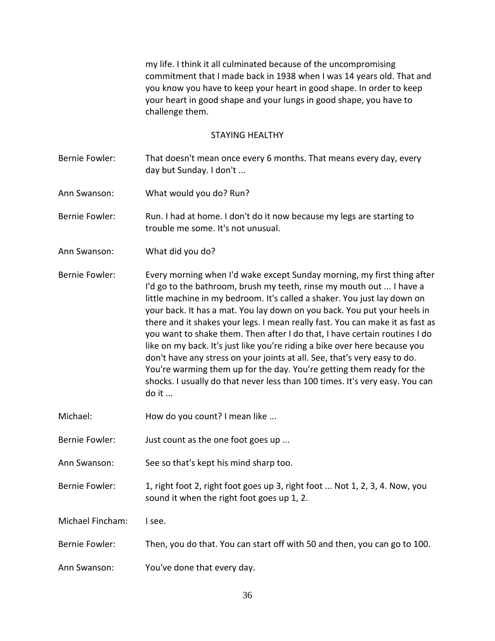my life. I think it all culminated because of the uncompromising commitment that I made back in 1938 when I was 14 years old. That and you know you have to keep your heart in good shape. In order to keep your heart in good shape and your lungs in good shape, you have to challenge them.

### STAYING HEALTHY

- Bernie Fowler: That doesn't mean once every 6 months. That means every day, every day but Sunday. I don't ...
- Ann Swanson: What would you do? Run?

Bernie Fowler: Run. I had at home. I don't do it now because my legs are starting to trouble me some. It's not unusual.

Ann Swanson: What did you do?

Bernie Fowler: Every morning when I'd wake except Sunday morning, my first thing after I'd go to the bathroom, brush my teeth, rinse my mouth out ... I have a little machine in my bedroom. It's called a shaker. You just lay down on your back. It has a mat. You lay down on you back. You put your heels in there and it shakes your legs. I mean really fast. You can make it as fast as you want to shake them. Then after I do that, I have certain routines I do like on my back. It's just like you're riding a bike over here because you don't have any stress on your joints at all. See, that's very easy to do. You're warming them up for the day. You're getting them ready for the shocks. I usually do that never less than 100 times. It's very easy. You can do it ...

- Michael: How do you count? I mean like ...
- Bernie Fowler: Just count as the one foot goes up ...
- Ann Swanson: See so that's kept his mind sharp too.
- Bernie Fowler: 1, right foot 2, right foot goes up 3, right foot ... Not 1, 2, 3, 4. Now, you sound it when the right foot goes up 1, 2.

Michael Fincham: I see.

- Bernie Fowler: Then, you do that. You can start off with 50 and then, you can go to 100.
- Ann Swanson: You've done that every day.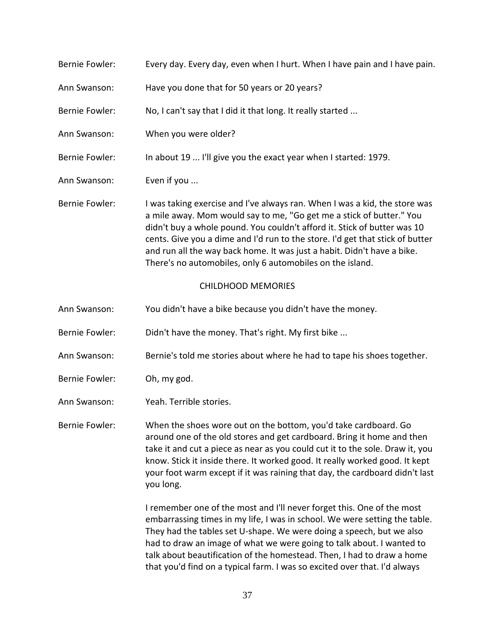| <b>Bernie Fowler:</b>     | Every day. Every day, even when I hurt. When I have pain and I have pain.                                                                                                                                                                                                                                                                                                                                                                               |  |
|---------------------------|---------------------------------------------------------------------------------------------------------------------------------------------------------------------------------------------------------------------------------------------------------------------------------------------------------------------------------------------------------------------------------------------------------------------------------------------------------|--|
| Ann Swanson:              | Have you done that for 50 years or 20 years?                                                                                                                                                                                                                                                                                                                                                                                                            |  |
| <b>Bernie Fowler:</b>     | No, I can't say that I did it that long. It really started                                                                                                                                                                                                                                                                                                                                                                                              |  |
| Ann Swanson:              | When you were older?                                                                                                                                                                                                                                                                                                                                                                                                                                    |  |
| <b>Bernie Fowler:</b>     | In about 19  I'll give you the exact year when I started: 1979.                                                                                                                                                                                                                                                                                                                                                                                         |  |
| Ann Swanson:              | Even if you                                                                                                                                                                                                                                                                                                                                                                                                                                             |  |
| <b>Bernie Fowler:</b>     | I was taking exercise and I've always ran. When I was a kid, the store was<br>a mile away. Mom would say to me, "Go get me a stick of butter." You<br>didn't buy a whole pound. You couldn't afford it. Stick of butter was 10<br>cents. Give you a dime and I'd run to the store. I'd get that stick of butter<br>and run all the way back home. It was just a habit. Didn't have a bike.<br>There's no automobiles, only 6 automobiles on the island. |  |
| <b>CHILDHOOD MEMORIES</b> |                                                                                                                                                                                                                                                                                                                                                                                                                                                         |  |
| Ann Swanson:              | You didn't have a bike because you didn't have the money.                                                                                                                                                                                                                                                                                                                                                                                               |  |
| <b>Bernie Fowler:</b>     | Didn't have the money. That's right. My first bike                                                                                                                                                                                                                                                                                                                                                                                                      |  |
| Ann Swanson:              | Bernie's told me stories about where he had to tape his shoes together.                                                                                                                                                                                                                                                                                                                                                                                 |  |
| Bernie Fowler:            | Oh, my god.                                                                                                                                                                                                                                                                                                                                                                                                                                             |  |

Ann Swanson: Yeah. Terrible stories.

Bernie Fowler: When the shoes wore out on the bottom, you'd take cardboard. Go around one of the old stores and get cardboard. Bring it home and then take it and cut a piece as near as you could cut it to the sole. Draw it, you know. Stick it inside there. It worked good. It really worked good. It kept your foot warm except if it was raining that day, the cardboard didn't last you long.

> I remember one of the most and I'll never forget this. One of the most embarrassing times in my life, I was in school. We were setting the table. They had the tables set U-shape. We were doing a speech, but we also had to draw an image of what we were going to talk about. I wanted to talk about beautification of the homestead. Then, I had to draw a home that you'd find on a typical farm. I was so excited over that. I'd always